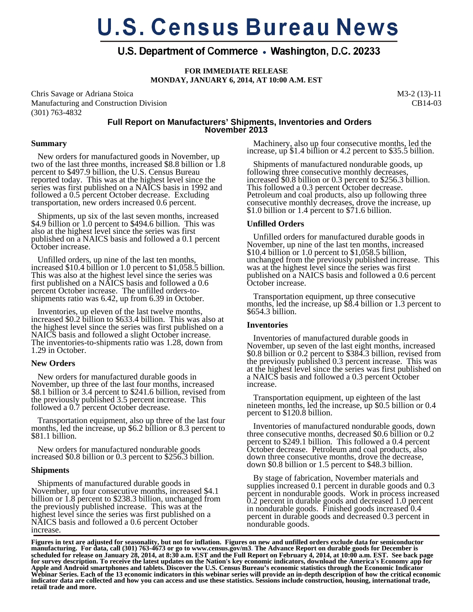# **U.S. Census Bureau News**

# U.S. Department of Commerce • Washington, D.C. 20233

**FOR IMMEDIATE RELEASE MONDAY, JANUARY 6, 2014, AT 10:00 A.M. EST** 

Chris Savage or Adriana Stoica Manufacturing and Construction Division (301) 763-4832

M3-2 (13)-11 CB14-03

# **Full Report on Manufacturers' Shipments, Inventories and Orders November 2013**

#### **Summary**

 New orders for manufactured goods in November, up two of the last three months, increased \$8.8 billion or 1.8 percent to \$497.9 billion, the U.S. Census Bureau reported today. This was at the highest level since the series was first published on a NAICS basis in 1992 and followed a 0.5 percent October decrease. Excluding transportation, new orders increased 0.6 percent.

 Shipments, up six of the last seven months, increased \$4.9 billion or 1.0 percent to \$494.6 billion. This was also at the highest level since the series was first published on a NAICS basis and followed a 0.1 percent October increase.

 Unfilled orders, up nine of the last ten months, increased \$10.4 billion or 1.0 percent to \$1,058.5 billion. This was also at the highest level since the series was first published on a NAICS basis and followed a 0.6 percent October increase. The unfilled orders-toshipments ratio was 6.42, up from 6.39 in October.

 Inventories, up eleven of the last twelve months, increased \$0.2 billion to \$633.4 billion. This was also at the highest level since the series was first published on a NAICS basis and followed a slight October increase. The inventories-to-shipments ratio was 1.28, down from 1.29 in October.

#### **New Orders**

 New orders for manufactured durable goods in November, up three of the last four months, increased \$8.1 billion or 3.4 percent to \$241.6 billion, revised from the previously published 3.5 percent increase. This followed a 0.7 percent October decrease.

 Transportation equipment, also up three of the last four months, led the increase, up \$6.2 billion or 8.3 percent to \$81.1 billion.

 New orders for manufactured nondurable goods increased \$0.8 billion or 0.3 percent to \$256.3 billion.

#### **Shipments**

 Shipments of manufactured durable goods in November, up four consecutive months, increased \$4.1 billion or 1.8 percent to \$238.3 billion, unchanged from the previously published increase. This was at the highest level since the series was first published on a NAICS basis and followed a 0.6 percent October increase.

 Machinery, also up four consecutive months, led the increase, up \$1.4 billion or 4.2 percent to \$35.5 billion.

 Shipments of manufactured nondurable goods, up following three consecutive monthly decreases, increased \$0.8 billion or 0.3 percent to \$256.3 billion. This followed a 0.3 percent October decrease. Petroleum and coal products, also up following three consecutive monthly decreases, drove the increase, up \$1.0 billion or 1.4 percent to  $$71.6$  billion.

# **Unfilled Orders**

 Unfilled orders for manufactured durable goods in November, up nine of the last ten months, increased \$10.4 billion or 1.0 percent to \$1,058.5 billion, unchanged from the previously published increase. This was at the highest level since the series was first published on a NAICS basis and followed a 0.6 percent October increase.

 Transportation equipment, up three consecutive months, led the increase, up \$8.4 billion or 1.3 percent to \$654.3 billion.

# **Inventories**

 Inventories of manufactured durable goods in November, up seven of the last eight months, increased \$0.8 billion or 0.2 percent to \$384.3 billion, revised from the previously published 0.3 percent increase. This was at the highest level since the series was first published on a NAICS basis and followed a 0.3 percent October increase.

 Transportation equipment, up eighteen of the last nineteen months, led the increase, up \$0.5 billion or 0.4 percent to \$120.8 billion.

 Inventories of manufactured nondurable goods, down three consecutive months, decreased \$0.6 billion or 0.2 percent to \$249.1 billion. This followed a 0.4 percent October decrease. Petroleum and coal products, also down three consecutive months, drove the decrease, down \$0.8 billion or 1.5 percent to \$48.3 billion.

 By stage of fabrication, November materials and supplies increased 0.1 percent in durable goods and 0.3 percent in nondurable goods. Work in process increased 0.2 percent in durable goods and decreased 1.0 percent in nondurable goods. Finished goods increased 0.4 percent in durable goods and decreased 0.3 percent in nondurable goods.

**Figures in text are adjusted for seasonality, but not for inflation. Figures on new and unfilled orders exclude data for semiconductor manufacturing. For data, call (301) 763-4673 or go to www.census.gov/m3**. **The Advance Report on durable goods for December is scheduled for release on January 28, 2014, at 8:30 a.m. EST and the Full Report on February 4, 2014, at 10:00 a.m. EST. See back page for survey description. To receive the latest updates on the Nation's key economic indicators, download the America's Economy app for Apple and Android smartphones and tablets. Discover the U.S. Census Bureau's economic statistics through the Economic Indicator Webinar Series. Each of the 13 economic indicators in this webinar series will provide an in-depth description of how the critical economic indicator data are collected and how you can access and use these statistics. Sessions include construction, housing, international trade, retail trade and more.**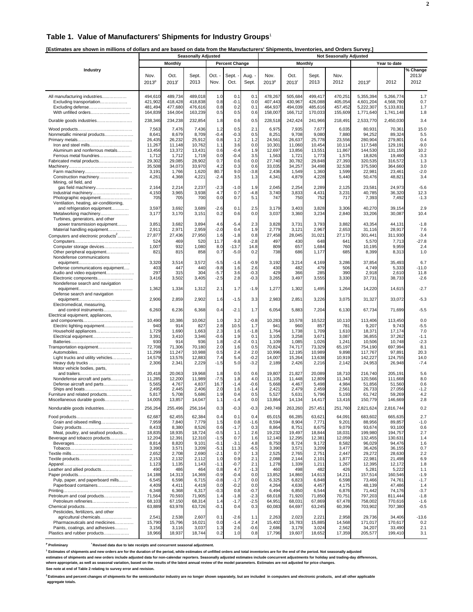#### **Table 1. Value of Manufacturers' Shipments for Industry Groups**<sup>1</sup>

**[Estimates are shown in millions of dollars and are based on data from the Manufacturers' Shipments, Inventories, and Orders Survey.]** 

|                                                               | <b>Seasonally Adjusted</b> |                     |                    |                  |                       |                  |                    |                     | <b>Not Seasonally Adjusted</b> |                    |                        |                        |                  |  |  |  |
|---------------------------------------------------------------|----------------------------|---------------------|--------------------|------------------|-----------------------|------------------|--------------------|---------------------|--------------------------------|--------------------|------------------------|------------------------|------------------|--|--|--|
|                                                               |                            | <b>Monthly</b>      |                    |                  | <b>Percent Change</b> |                  |                    |                     | <b>Monthly</b>                 |                    |                        | Year to date           |                  |  |  |  |
| Industry                                                      |                            |                     |                    |                  |                       |                  |                    |                     |                                |                    |                        |                        | % Change         |  |  |  |
|                                                               | Nov.                       | Oct.                | Sept.              | Oct. -           | Sept. -               | Aug.             | Nov.               | Oct.                | Sept.                          | Nov.               |                        |                        | 2013/            |  |  |  |
|                                                               | 2013 <sup>p</sup>          | $2013$ <sup>r</sup> | 2013               | Nov.             | Oct.                  | Sept.            | $2013^p$           | $2013$ <sup>r</sup> | 2013                           | 2012               | $2013^p$               | 2012                   | 2012             |  |  |  |
|                                                               |                            |                     |                    |                  |                       |                  |                    |                     |                                |                    |                        |                        |                  |  |  |  |
| All manufacturing industries                                  | 494,610                    | 489,734             | 489,018            | 1.0              | 0.1                   | 0.1              | 478,267            | 505,684             | 499,417                        | 470,251            | 5.355.394<br>4.601.204 | 5.266.774<br>4.568.780 | 1.7              |  |  |  |
| Excluding transportation<br>Excluding defense                 | 421,902<br>481,494         | 418,428<br>477,680  | 418,838<br>476,616 | 0.8<br>0.8       | $-0.1$<br>0.2         | 0.0<br>0.1       | 407,443<br>464,937 | 430,967<br>494,039  | 426,088<br>485,616             | 405,054<br>457,452 | 5,222,307              | 5,133,831              | 0.7<br>1.7       |  |  |  |
| With unfilled orders                                          | 164,839                    | 164,004             | 163,239            | 0.5              | 0.5                   | 0.6              | 158,007            | 166,712             | 170,033                        | 155,609            | 1,771,640              | 1,741,148              | 1.8              |  |  |  |
| Durable goods industries                                      | 238,346                    | 234,238             | 232,854            | 1.8              | 0.6                   | 0.5              | 228,518            | 242,424             | 241,966                        | 218,491            | 2,533,770              | 2,450,030              | 3.4              |  |  |  |
|                                                               |                            |                     |                    |                  |                       |                  |                    |                     |                                |                    |                        |                        |                  |  |  |  |
| Nonmetallic mineral products                                  | 7,563<br>8,641             | 7,476<br>8,679      | 7,436<br>8,709     | 1.2<br>$-0.4$    | 0.5<br>$-0.3$         | 2.1<br>0.5       | 6,975<br>8,251     | 7,935<br>9,708      | 7,677<br>9,080                 | 6,035<br>7,880     | 80,931<br>94,252       | 70,361<br>89,324       | 15.0<br>5.5      |  |  |  |
|                                                               | 26,435                     | 26,232              | 25,912             | 0.8              | 1.2                   | 1.2              | 24,561             | 26,637              | 25,778                         | 23,556             | 280,904                | 279,801                | 0.4              |  |  |  |
| Iron and steel mills                                          | 11,267                     | 11,148              | 10,762             | 1.1              | 3.6                   | 0.0              | 10,301             | 11,060              | 10,454                         | 10,114             | 117,548                | 129,191                | $-9.0$           |  |  |  |
| Aluminum and nonferrous metals                                | 13,456                     | 13,372              | 13,431             | 0.6              | $-0.4$                | 1.9              | 12,697             | 13,856              | 13,551                         | 11,867             | 144,530                | 131,150                | 10.2             |  |  |  |
| Ferrous metal foundries<br>Fabricated metal products          | 1,712<br>29,302            | 1,712<br>29,085     | 1,719<br>28,902    | 0.0<br>0.7       | $-0.4$<br>0.6         | 3.5<br>0.0       | 1,563<br>27,740    | 1,721<br>30,782     | 1,773<br>29,848                | 1,575<br>27,393    | 18,826<br>320,535      | 19,460<br>316,572      | $-3.3$<br>1.3    |  |  |  |
|                                                               | 35,508                     | 34,073              | 33,970             | 4.2              | 0.3                   | 0.6              | 33,035             | 34,257              | 34,498                         | 32,538             | 375,590                | 364,660                | 3.0              |  |  |  |
|                                                               | 3,191                      | 1,766               | 1,620              | 80.7             | 9.0                   | $-3.8$           | 2,436              | 1,549               | 1,360                          | 1,599              | 22,98'                 | 23,461                 | $-2.0$           |  |  |  |
| Construction machinery                                        | 4,261                      | 4,368               | 4,221              | $-2.4$           | 3.5                   | 1.3              | 4,341              | 4,879               | 4,228                          | 5,440              | 50,476                 | 48,821                 | 3.4              |  |  |  |
| Mining, oil field, and                                        | 2,164                      | 2,214               | 2,237              | $-2.3$           | $-1.0$                | 1.9              | 2,045              | 2,254               | 2,289                          | 2,125              | 23,581                 | 24,973                 | $-5.6$           |  |  |  |
| Industrial machinery                                          | 4,150                      | 3,965               | 3,938              | 4.7              | 0.7                   | $-4.8$           | 3,740              | 3,833               | 4,431                          | 3,231              | 40,785                 | 36,320                 | 12.3             |  |  |  |
| Photographic equipment                                        | 705                        | 705                 | 700                | 0.0              | 0.7                   | 5.1              | 747                | 750                 | 752                            | 717                | 7,393                  | 7,492                  | $-1.3$           |  |  |  |
| Ventilation, heating, air-conditioning,                       |                            |                     |                    |                  |                       |                  |                    |                     |                                |                    |                        |                        |                  |  |  |  |
| and refrigeration equipment<br>Metalworking machinery         | 3,597<br>3,177             | 3,692<br>3,170      | 3,689<br>3,151     | $-2.6$<br>0.2    | 0.1<br>0.6            | 2.5<br>0.0       | 3,179<br>3,037     | 3,403<br>3,360      | 3,828<br>3,234                 | 3,306<br>2,840     | 40,270<br>33,206       | 39,154<br>30,087       | 2.9<br>10.4      |  |  |  |
| Turbines, generators, and other                               |                            |                     |                    |                  |                       |                  |                    |                     |                                |                    |                        |                        |                  |  |  |  |
| power transmission equipment                                  | 3,851                      | 3,682               | 3,894              | 4.6              | $-5.4$                | 2.3              | 3,828              | 3,731               | 3,793                          | 3,882              | 43,354                 | 44,131                 | $-1.8$           |  |  |  |
| Material handling equipment                                   | 2,911                      | 2,971               | 2,959              | $-2.0$           | 0.4                   | 1.9              | 2,779              | 3,121               | 2,967                          | 2,653              | 31,116                 | 28,917                 | 7.6              |  |  |  |
| Computers and electronic products <sup>2</sup>                | 27,877                     | 27,436              | 27,950             | 1.6              | $-1.8$                | 0.8              | 27,458             | 28,045              | 31,021                         | 27,173             | 301,441                | 311,930                | $-3.4$           |  |  |  |
| Computer storage devices                                      | 524<br>1,007               | 469<br>932          | 520<br>1,080       | 11.7<br>8.0      | $-9.8$<br>$-13.7$     | $-2.8$<br>14.8   | 497<br>809         | 430<br>657          | 648<br>1,684                   | 641<br>760         | 5,570<br>10,195        | 7,713<br>9,959         | $-27.8$<br>2.4   |  |  |  |
| Other peripheral equipment                                    | 821                        | 815                 | 858                | 0.7              | $-5.0$                | 0.2              | 738                | 686                 | 1,177                          | 685                | 8,399                  | 8,313                  | 1.0              |  |  |  |
| Nondefense communications                                     |                            |                     |                    |                  |                       |                  |                    |                     |                                |                    |                        |                        |                  |  |  |  |
|                                                               | 3,320                      | 3,514               | 3,572              | $-5.5$           | $-1.6$                | $-0.9$           | 3,192              | 3,214               | 4,169                          | 3,286              | 37,854                 | 35,493                 | 6.7              |  |  |  |
| Defense communications equipment<br>Audio and video equipment | 403<br>297                 | 447<br>315          | 440<br>304         | $-9.8$<br>$-5.7$ | 1.6<br>3.6            | 2.6<br>$-0.3$    | 430<br>429         | 482<br>366          | 479<br>285                     | 506<br>390         | 4,749<br>2,918         | 5,333<br>2,610         | $-11.0$<br>11.8  |  |  |  |
| Electronic components                                         | 3,416                      | 3,502               | 3,405              | $-2.5$           | 2.8                   | $-0.3$           | 3,265              | 3,497               | 3,555                          | 3,330              | 37,731                 | 38,733                 | $-2.6$           |  |  |  |
| Nondefense search and navigation                              |                            |                     |                    |                  |                       |                  |                    |                     |                                |                    |                        |                        |                  |  |  |  |
|                                                               | 1,362                      | 1,334               | 1,312              | 2.1              | 1.7                   | $-1.9$           | 1,277              | 1,302               | 1,495                          | 1,264              | 14,220                 | 14,615                 | $-2.7$           |  |  |  |
| Defense search and navigation                                 | 2,906                      | 2,859               | 2,902              | 1.6              | $-1.5$                | 3.3              | 2,983              | 2,851               | 3,226                          | 3,075              | 31,327                 | 33,072                 | $-5.3$           |  |  |  |
| Electromedical, measuring,                                    |                            |                     |                    |                  |                       |                  |                    |                     |                                |                    |                        |                        |                  |  |  |  |
| and control instruments<br>Electrical equipment, appliances,  | 6,260                      | 6,236               | 6,368              | 0.4              | $-2.1$                | 1.7              | 6,054              | 5,883               | 7,204                          | 6,130              | 67,734                 | 71,699                 | $-5.5$           |  |  |  |
|                                                               | 10,490                     | 10,386              | 10,062             | 1.0              | 3.2                   | $-0.8$           | 10,283             | 10,578              | 10,522                         | 10,110             | 113,406                | 113,450                | 0.0              |  |  |  |
| Electric lighting equipment                                   | 940                        | 914                 | 827                | 2.8              | 10.5                  | 1.7              | 941                | 960                 | 857                            | 781                | 9,207                  | 9,743                  | $-5.5$           |  |  |  |
| Household appliances                                          | 1,729                      | 1,690               | 1,663              | 2.3              | 1.6                   | $-1.8$           | 1,764              | 1,738               | 1,709                          | 1,610              | 18,371                 | 17,174                 | 7.0              |  |  |  |
| Electrical equipment                                          | 3,391<br>930               | 3,410<br>914        | 3,346<br>936       | $-0.6$<br>1.8    | 1.9<br>$-2.4$         | 0.1<br>0.1       | 3,105<br>1,109     | 3,258<br>1,085      | 3,671<br>1,026                 | 3,087<br>1,241     | 36,855<br>10,506       | 37,262<br>10,748       | $-1.1$<br>$-2.3$ |  |  |  |
| Transportation equipment                                      | 72,708                     | 71,306              | 70,180             | 2.0              | 1.6                   | 0.5              | 70,824             | 74,717              | 73,329                         | 65,197             | 754,190                | 697,994                | 8.1              |  |  |  |
|                                                               | 11,299                     | 11,247              | 10,988             | 0.5              | 2.4                   | 2.0              | 10,996             | 12,195              | 10,989                         | 9,898              | 117.767                | 97,891                 | 20.3             |  |  |  |
| Light trucks and utility vehicles                             | 14,579                     | 13,576              | 12,883             | 7.4              | 5.4<br>5.0            | $-0.2$           | 14,007             | 15,264              | 13,638                         | 10,919<br>2,142    | 142,227                | 124,755                | 14.0<br>$-7.4$   |  |  |  |
| Heavy duty trucks<br>Motor vehicle bodies, parts,             | 2,306                      | 2,341               | 2,229              | $-1.5$           |                       | $-3.2$           | 2,189              | 2,426               | 2,216                          |                    | 24,953                 | 26,948                 |                  |  |  |  |
|                                                               | 20,418                     | 20,063              | 19,968             | 1.8              | 0.5                   | 0.6              | 19,807             | 21,827              | 20,089                         | 18,710             | 216,740                | 205,191                | 5.6              |  |  |  |
| Nondefense aircraft and parts                                 | 11,285                     | 12,200              | 11,989             | $-7.5$           | 1.8                   | 4.0              | 11,105             | 11,448              | 12,809                         | 11,343             | 120,566                | 111,668                | 8.0              |  |  |  |
| Defense aircraft and parts                                    | 5,565<br>2,495             | 4,767<br>2,445      | 4,837<br>2,406     | 16.7<br>2.0      | $-1.4$<br>1.6         | $-0.6$<br>$-1.4$ | 5,668<br>2,421     | 4,467<br>2,479      | 5,498<br>2,459                 | 4,984<br>2,561     | 51,856<br>26,733       | 51,560<br>27,056       | 0.6<br>$-1.2$    |  |  |  |
| Furniture and related products                                | 5,817                      | 5,708               | 5,686              | 1.9              | 0.4                   | 0.5              | 5,527              | 5,631               | 5,796                          | 5,193              | 61,742                 | 59,269                 | 4.2              |  |  |  |
| Miscellaneous durable goods                                   | 14,005                     | 13,857              | 14,047             | 1.1              | -1.4                  | 0.0              | 13,864             | 14,134              | 14,417                         | 13,416             | 150,779                | 146,669                | 2.8              |  |  |  |
| Nondurable goods industries                                   | 256,264                    | 255,496             | 256,164            | 0.3              | $-0.3$                | $-0.3$           | 249,749            | 263,260             | 257,451                        | 251,760            | 2,821,624              | 2,816,744              | 0.2              |  |  |  |
|                                                               | 62,687                     | 62,455              | 62,384             | 0.4              | 0.1                   | 0.4              | 65,015             | 66,285              | 63,621                         | 64,091             | 683.602                | 665,635                | 2.7              |  |  |  |
| Grain and oilseed milling                                     | 7,959                      | 7,840               | 7,779              | 1.5              | 0.8                   | $-1.6$           | 8,594              | 8,904               | 7,771                          | 9,201              | 88,956                 | 89,857                 | $-1.0$           |  |  |  |
| Dairy products                                                | 8,433                      | 8,380               | 8,526              | 0.6              | $-1.7$                | 0.3              | 8,864              | 8,75'               | 8,675                          | 9,079              | 93,674                 | 93,100                 | 0.6              |  |  |  |
| Meat, poultry, and seafood products                           | 18,835                     | 18,935              | 18,724             | $-0.5$           | 1.1                   | 2.6              | 19,232             | 19,497              | 18,844                         | 18,031             | 199,980                | 194,757                | 2.7              |  |  |  |
| Beverage and tobacco products                                 | 12,204<br>8,814            | 12,391<br>8,820     | 12,310<br>9,101    | $-1.5$<br>$-0.1$ | 0.7<br>$-3.1$         | 1.6<br>4.8       | 12,140<br>8,750    | 12,295<br>8,724     | 12,381<br>9,172                | 12,059<br>8,582    | 132,455<br>96,029      | 130,631<br>94,476      | 1.4<br>1.6       |  |  |  |
|                                                               | 3,390                      | 3,571               | 3,209              | $-5.1$           | 11.3                  | $-6.5$           | 3,390              | 3,571               | 3,209                          | 3,477              | 36,426                 | 36,155                 | 0.7              |  |  |  |
|                                                               | 2,652                      | 2,708               | 2,690              | $-2.1$           | 0.7                   | 1.3              | 2,525              | 2,765               | 2,751                          | 2,447              | 29,272                 | 28,630                 | 2.2              |  |  |  |
|                                                               | 2,153                      | 2,132               | 2,112              | 1.0              | 0.9                   | 2.1              | 2,088              | 2,144               | 2,101                          | 1,877              | 22,981                 | 21,498                 | 6.9              |  |  |  |
| Leather and allied products                                   | 1,123<br>490               | 1,135<br>486        | 1,143<br>464       | $-1.1$<br>0.8    | $-0.7$<br>4.7         | 2.1<br>$-1.3$    | 1,278<br>460       | 1,339<br>498        | 1,211<br>482                   | 1,267<br>426       | 12,395<br>5,281        | 12,172<br>5,222        | 1.8<br>1.1       |  |  |  |
|                                                               | 14,188                     | 14,313              | 14,369             | $-0.9$           | $-0.4$                | 0.0              | 13,852             | 14,860              | 14,613                         | 14,211             | 157,514                | 160,546                | $-1.9$           |  |  |  |
| Pulp, paper, and paperboard mills                             | 6,545                      | 6,598               | 6,715              | $-0.8$           | $-1.7$                | 0.0              | 6,325              | 6,823               | 6,848                          | 6,598              | 73,466                 | 74,761                 | $-1.7$           |  |  |  |
| Paperboard containers                                         | 4,409                      | 4,411               | 4,419              | 0.0              | $-0.2$                | 0.0              | 4,264              | 4,636               | 4,457                          | 4,175              | 48,139                 | 47,486                 | 1.4              |  |  |  |
| Petroleum and coal products                                   | 6,348<br>71,564            | 6,368<br>70,593     | 6,317<br>71,905    | $-0.3$<br>1.4    | 0.8<br>$-1.8$         | $-0.7$<br>$-2.3$ | 6,494<br>68,018    | 6,850<br>71,920     | 6,544<br>71,850                | 6,876<br>70,751    | 71,442<br>797,203      | 74,176<br>811.444      | $-3.7$<br>$-1.8$ |  |  |  |
| Petroleum refineries                                          | 68,103                     | 67,150              | 68,314             | 1.4              | $-1.7$                | $-2.5$           | 64,951             | 68,031              | 67,869                         | 67,478             | 758,002                | 770,616                | $-1.6$           |  |  |  |
|                                                               | 63,889                     | 63,978              | 63,726             | $-0.1$           | 0.4                   | 0.3              | 60,083             | 64,697              | 63,245                         | 60,396             | 703,902                | 707,380                | $-0.5$           |  |  |  |
| Pesticides, fertilizers, and other<br>agricultural chemicals  | 2,541                      | 2,538               | 2,607              | 0.1              | $-2.6$                | 1.1              | 2,263              | 2,023               | 2,221                          | 2,958              | 29,736                 | 34,406                 | $-13.6$          |  |  |  |
| Pharmaceuticals and medicines                                 | 15,790                     | 15,796              | 16,021             | 0.0              | $-1.4$                | 2.4              | 15,402             | 16,783              | 15,885                         | 14,568             | 171,017                | 170,617                | 0.2              |  |  |  |
| Paints, coatings, and adhesives                               | 3,156                      | 3,116               | 3,037              | 1.3              | 2.6                   | $-0.6$           | 2,686              | 3,179               | 3,024                          | 2,562              | 34,207                 | 33,490                 | 2.1              |  |  |  |
| Plastics and rubber products                                  | 18,966                     | 18,937              | 18,744             | 0.2              | 1.0                   | 0.8              | 17,796             | 19,607              | 18,652                         | 17,359             | 205,577                | 199,410                | 3.1              |  |  |  |

<sup>p</sup> Preliminary  **Preliminary r Revised data due to late receipts and concurrent seasonal adjustment.**

**1 Estimates of shipments and new orders are for the duration of the period, while estimates of unfilled orders and total inventories are for the end of the period. Not seasonally adjusted** 

estimates of shipments and new orders include adjusted data for non-calendar reporters. Seasonally adjusted estimates include concurrent adjustments for holiday and trading-day differences,<br>where appropriate, as well as se **See note at end of Table 2 relating to survey error and revision.**

**2 Estimates and percent changes of shipments for the semiconductor industry are no longer shown separately, but are included in computers and electronic products, and all other applicable aggregate totals.**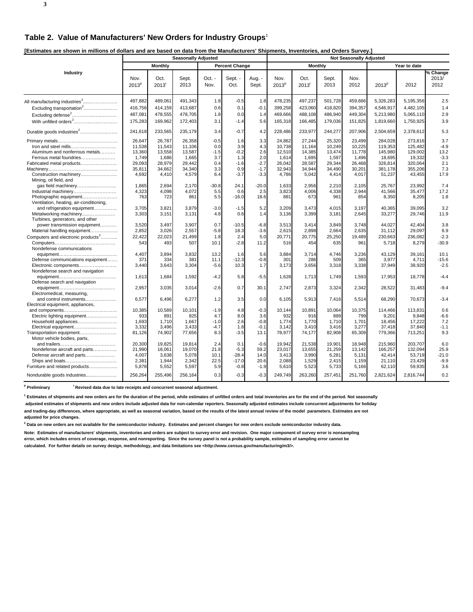**[Estimates are shown in millions of dollars and are based on data from the Manufacturers' Shipments, Inventories, and Orders Survey.]** 

| Louinated are dirent in minions or abilard and are baded on data nomine manufacturers. Omphemore, inventories, and Orders Ourveyr, | <b>Seasonally Adjusted</b> |                             |               |                |                       |                 | <b>Not Seasonally Adjusted</b> |                |               |              |                   |              |                                  |  |
|------------------------------------------------------------------------------------------------------------------------------------|----------------------------|-----------------------------|---------------|----------------|-----------------------|-----------------|--------------------------------|----------------|---------------|--------------|-------------------|--------------|----------------------------------|--|
|                                                                                                                                    |                            | <b>Monthly</b>              |               |                | <b>Percent Change</b> |                 |                                | <b>Monthly</b> |               |              |                   | Year to date |                                  |  |
| Industry                                                                                                                           | Nov.<br>2013 <sup>p</sup>  | Oct.<br>$2013$ <sup>r</sup> | Sept.<br>2013 | Oct. -<br>Nov. | Sept. -<br>Oct.       | Aug. -<br>Sept. | Nov.<br>2013 <sup>p</sup>      | Oct.<br>2013   | Sept.<br>2013 | Nov.<br>2012 | 2013 <sup>p</sup> | 2012         | $\sqrt%$ Change<br>2013/<br>2012 |  |
|                                                                                                                                    | 497,882                    | 489,061                     | 491,343       | 1.8            | $-0.5$                | 1.8             | 478,235                        | 497,237        | 501,728       | 459,666      | 5,326,283         | 5,195,356    | 2.5                              |  |
| Excluding transportation <sup>2</sup>                                                                                              | 416,756                    | 414,159                     | 413,687       | 0.6            | 0.1                   | $-0.1$          | 399,258                        | 423,060        | 418,820       | 394,357      | 4,546,917         | 4,482,105    | 1.4                              |  |
| Excluding defense <sup>2</sup>                                                                                                     | 487,081                    | 478,555                     | 478,705       | 1.8            | 0.0                   | 1.4             | 469,666                        | 488,108        | 486,940       | 449,304      | 5,213,980         | 5,065,110    | 2.9                              |  |
|                                                                                                                                    | 175,283                    | 169,962                     | 172,403       | 3.1            | $-1.4$                | 5.6             | 165,318                        | 166,485        | 179,036       | 151,825      | 1,819,660         | 1,750,925    | 3.9                              |  |
| Durable goods industries <sup>2</sup>                                                                                              | 241,618                    | 233,565                     | 235,179       | 3.4            | $-0.7$                | 4.2             | 228,486                        | 233,977        | 244,277       | 207,906      | 2,504,659         | 2,378,612    | 5.3                              |  |
|                                                                                                                                    | 26,647                     | 26,787                      | 26,358        | $-0.5$         | 1.6                   | 3.3             | 24,862                         | 27,244         | 25,320        | 23,499       | 284,028           | 273,816      | 3.7                              |  |
| Iron and steel mills                                                                                                               | 11,538                     | 11,543                      | 11,106        | 0.0            | 3.9                   | 4.3             | 10,738                         | 11,164         | 10,249        | 10,225       | 119,353           | 125,482      | $-4.9$                           |  |
| Aluminum and nonferrous metals                                                                                                     | 13,360                     | 13,558                      | 13,587        | $-1.5$         | $-0.2$                | 2.6             | 12,510                         | 14,385         | 13,474        | 11,778       | 145,980           | 129,002      | 13.2                             |  |
| Ferrous metal foundries                                                                                                            | 1,749                      | 1,686                       | 1,665         | 3.7            | 1.3                   | 2.0             | 1,614                          | 1,695          | 1,597         | 1,496        | 18,695            | 19,332       | $-3.3$                           |  |
| Fabricated metal products                                                                                                          | 29,093                     | 28,979                      | 29,442        | 0.4            | $-1.6$                | $-2.7$          | 26,042                         | 28,587         | 29,344        | 26,468       | 326,814           | 320,064      | 2.1                              |  |
|                                                                                                                                    | 35,811                     | 34,662                      | 34,340        | 3.3            | 0.9                   | $-1.7$          | 32,943                         | 34,944         | 34,490        | 30,201       | 381,178           | 355,206      | 7.3                              |  |
| Construction machinery<br>Mining, oil field, and                                                                                   | 4,692                      | 4,410                       | 4,579         | 6.4            | $-3.7$                | $-3.3$          | 4,786                          | 5,042          | 4,414         | 4,017        | 51,237            | 43,455       | 17.9                             |  |
| gas field machinery                                                                                                                | 1,865                      | 2,694                       | 2,170         | $-30.8$        | 24.1                  | $-20.0$         | 1,633                          | 2,956          | 2,210         | 2,105        | 25,767            | 23,992       | 7.4                              |  |
| Industrial machinery                                                                                                               | 4,323                      | 4,098                       | 4,072         | 5.5            | 0.6                   | 2.5             | 3,823                          | 4,006          | 4,338         | 2,944        | 41,566            | 35,477       | 17.2                             |  |
| Photographic equipment                                                                                                             | 763                        | 723                         | 861           | 5.5            | $-16.0$               | 18.6            | 881                            | 673            | 961           | 854          | 8,350             | 8,205        | 1.8                              |  |
| Ventilation, heating, air-conditioning,                                                                                            |                            |                             |               |                |                       |                 |                                |                |               |              |                   |              |                                  |  |
| and refrigeration equipment                                                                                                        | 3,705                      | 3,821                       | 3,879         | $-3.0$         | $-1.5$                | 5.2             | 3,209                          | 3,473          | 4,015         | 3,197        | 40,365            | 39,095       | 3.2                              |  |
| Metalworking machinery                                                                                                             | 3,303                      | 3,151                       | 3,131         | 4.8            | 0.6                   | 1.4             | 3,136                          | 3,399          | 3,181         | 2,645        | 33,277            | 29,746       | 11.9                             |  |
| Turbines, generators, and other                                                                                                    |                            |                             |               |                |                       |                 |                                |                |               |              |                   |              |                                  |  |
| power transmission equipment                                                                                                       | 3,520                      | 3,497                       | 3,907         | 0.7            | $-10.5$               | $-6.8$          | 3,513                          | 3,414          | 3,849         | 3,748        | 44,027            | 42,404       | 3.8                              |  |
| Material handling equipment                                                                                                        | 2,852                      | 3.026                       | 2,557         | $-5.8$         | 18.3                  | $-3.6$          | 2,615                          | 2,898          | 2.664         | 2.635        | 31,112            | 29.097       | 6.9                              |  |
|                                                                                                                                    | 22,422                     | 22,023                      | 21,499        | 1.8            | 2.4                   | 5.0             | 20,771                         | 20,775         | 25,250        | 19,489       | 230,663           | 236,082      | $-2.3$                           |  |
| Computers and electronic products <sup>2</sup>                                                                                     |                            |                             |               |                |                       |                 |                                |                |               |              |                   |              |                                  |  |
|                                                                                                                                    | 543                        | 493                         | 507           | 10.1           | $-2.8$                | 11.2            | 516                            | 454            | 635           | 961          | 5,718             | 8,279        | $-30.9$                          |  |
| Nondefense communications                                                                                                          |                            |                             |               |                |                       |                 |                                |                |               |              |                   |              |                                  |  |
|                                                                                                                                    | 4,407                      | 3,894                       | 3,832         | 13.2           | 1.6                   | 5.6             | 3,884                          | 3,714          | 4,746         | 3,236        | 43,129            | 39,161       | 10.1                             |  |
| Defense communications equipment                                                                                                   | 371                        | 334                         | 381           | 11.1           | $-12.3$               | $-0.8$          | 301                            | 286            | 509           | 365          | 3,977             | 4,711        | $-15.6$                          |  |
| Electronic components                                                                                                              | 3,440                      | 3,643                       | 3,304         | $-5.6$         | 10.3                  | 1.7             | 3,173                          | 3,656          | 3,318         | 3,338        | 37,949            | 38,920       | $-2.5$                           |  |
| Nondefense search and navigation                                                                                                   |                            |                             |               |                |                       |                 |                                |                |               |              |                   |              |                                  |  |
|                                                                                                                                    | 1,613                      | 1,684                       | 1,592         | $-4.2$         | 5.8                   | $-5.5$          | 1,628                          | 1,713          | 1,749         | 1,593        | 17,953            | 18,778       | $-4.4$                           |  |
| Defense search and navigation                                                                                                      |                            |                             |               |                |                       |                 |                                |                |               |              |                   |              |                                  |  |
|                                                                                                                                    | 2,957                      | 3,035                       | 3,014         | $-2.6$         | 0.7                   | 30.1            | 2,747                          | 2,873          | 3,324         | 2,342        | 28,522            | 31,483       | $-9.4$                           |  |
| Electromedical, measuring,                                                                                                         |                            |                             |               |                |                       |                 |                                |                |               |              |                   |              |                                  |  |
| and control instruments                                                                                                            | 6,577                      | 6,496                       | 6,277         | 1.2            | 3.5                   | 0.0             | 6,105                          | 5,913          | 7,416         | 5,514        | 68,290            | 70,673       | $-3.4$                           |  |
| Electrical equipment, appliances,                                                                                                  |                            |                             |               |                |                       |                 |                                |                |               |              |                   |              |                                  |  |
|                                                                                                                                    | 10,385                     | 10,589                      | 10,101        | $-1.9$         | 4.8                   | $-0.3$          | 10,144                         | 10,891         | 10,064        | 10,375       | 114,466           | 113,831      | 0.6                              |  |
| Electric lighting equipment                                                                                                        | 933                        | 891                         | 825           | 4.7            | 8.0                   | 3.6             | 932                            | 916            | 889           | 799          | 9.201             | 9,848        | $-6.6$                           |  |
| Household appliances                                                                                                               | 1,693                      | 1,710                       | 1,667         | $-1.0$         | 2.6                   | $-0.8$          | 1,774                          | 1,770          | 1,710         | 1,701        | 18,456            | 17,222       | 7.2                              |  |
| Electrical equipment                                                                                                               | 3,332                      | 3.496                       | 3,433         | $-4.7$         | 1.8                   | $-0.1$          | 3.142                          | 3,410          | 3.416         | 3.277        | 37.418            | 37.840       | $-1.1$                           |  |
| Transportation equipment                                                                                                           | 81,126                     | 74,902                      | 77,656        | 8.3            | $-3.5$                | 13.1            | 78,977                         | 74,177         | 82,908        | 65,309       | 779,366           | 713,251      | 9.3                              |  |
| Motor vehicle bodies, parts,                                                                                                       |                            |                             |               |                |                       |                 |                                |                |               |              |                   |              |                                  |  |
|                                                                                                                                    | 20,300                     | 19,825                      | 19,814        | 2.4            | 0.1                   | $-0.6$          | 19,942                         | 21,538         | 19,901        | 18.948       | 215,960           | 203,707      | 6.0                              |  |
| Nondefense aircraft and parts                                                                                                      | 21,990                     | 18,061                      | 19,070        | 21.8           | $-5.3$                | 59.2            | 23,017                         | 13,655         | 21,259        | 13.142       | 166,257           | 132,094      | 25.9                             |  |
| Defense aircraft and parts                                                                                                         | 4,007                      | 3,638                       | 5,078         | 10.1           | $-28.4$               | 14.0            | 3,413                          | 3,990          | 6,281         | 5,131        | 42,414            | 53,719       | $-21.0$                          |  |
| Ships and boats                                                                                                                    | 2,381                      | 1,944                       | 2,342         | 22.5           | $-17.0$               | 20.6            | 2,088                          | 1,529          | 2,415         | 1,159        | 21,110            | 23,429       | $-9.9$                           |  |
| Furniture and related products                                                                                                     | 5,878                      | 5,552                       | 5,597         | 5.9            | $-0.8$                | $-1.9$          | 5,610                          | 5,523          | 5,733         | 5,166        | 62,110            | 59,935       | 3.6                              |  |
| Nondurable goods industries                                                                                                        | 256,264                    | 255,496                     | 256,164       | 0.3            | $-0.3$                | $-0.3$          | 249,749                        | 263,260        | 257,451       | 251,760      | 2,821,624         | 2,816,744    | 0.2                              |  |

<sup>p</sup> Preliminary <sup>r</sup> Revised data due to late receipts and concurrent seasonal adjustment.

**1 Estimates of shipments and new orders are for the duration of the period, while estimates of unfilled orders and total inventories are for the end of the period. Not seasonally adjusted estimates of shipments and new orders include adjusted data for non-calendar reporters. Seasonally adjusted estimates include concurrent adjustments for holiday and trading-day differences, where appropriate, as well as seasonal variation, based on the results of the latest annual review of the model parameters. Estimates are not adjusted for price changes.**

**2 Data on new orders are not available for the semiconductor industry. Estimates and percent changes for new orders exclude semiconductor industry data.**

**Note: Estimates of manufacturers' shipments, inventories and orders are subject to survey error and revision. One major component of survey error is nonsampling error, which includes errors of coverage, response, and nonreporting. Since the survey panel is not a probability sample, estimates of sampling error cannot be calculated. For further details on survey design, methodology, and data limitations see <http://www.census.gov/manufacturing/m3/>.**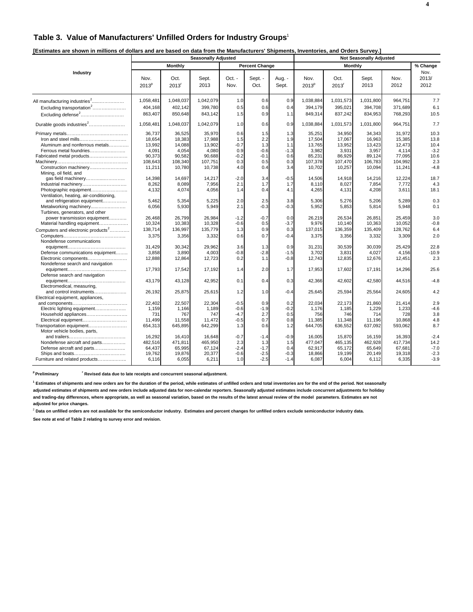### **Table 3. Value of Manufacturers' Unfilled Orders for Industry Groups**<sup>1</sup>

|                                                                         | <b>Seasonally Adjusted</b> |                    |                    |                  |                       |                 |                           |                           |                    |                    |                       |
|-------------------------------------------------------------------------|----------------------------|--------------------|--------------------|------------------|-----------------------|-----------------|---------------------------|---------------------------|--------------------|--------------------|-----------------------|
|                                                                         |                            | <b>Monthly</b>     |                    |                  | <b>Percent Change</b> |                 |                           | Monthly                   |                    |                    | % Change              |
| Industry                                                                | Nov.<br>2013 <sup>p</sup>  | Oct.<br>2013       | Sept.<br>2013      | $Oct. -$<br>Nov. | Sept. -<br>Oct.       | Aug. -<br>Sept. | Nov.<br>2013 <sup>P</sup> | Oct.<br>2013 <sup>r</sup> | Sept.<br>2013      | Nov.<br>2012       | Nov.<br>2013/<br>2012 |
| All manufacturing industries <sup>2</sup>                               | 1,058,48                   | 1,048,037          | 1,042,079          | 1.0              | 0.6                   | 0.9             | 1,038,884                 | 1,031,573                 | 1,031,800          | 964,751            | 7.7                   |
| Excluding transportation <sup>2</sup><br>Excluding defense <sup>2</sup> | 404,168<br>863,407         | 402,142<br>850,648 | 399,780<br>843,142 | 0.5<br>1.5       | 0.6<br>0.9            | 0.4<br>1.1      | 394,179<br>849,314        | 395,021<br>837,242        | 394,708<br>834,953 | 371,689<br>768,293 | 6.1<br>10.5           |
| Durable goods industries <sup>2</sup>                                   | 1,058,481                  | 1,048,037          | 1,042,079          | 1.0              | 0.6                   | 0.9             | 1,038,884                 | 1,031,573                 | 1,031,800          | 964,751            | 7.7                   |
|                                                                         | 36.737                     | 36.525             | 35.970             | 0.6              | 1.5                   | 1.3             | 35,251                    | 34.950                    | 34,343             | 31.972             | 10.3                  |
| Iron and steel mills                                                    | 18.654                     | 18,383             | 17,988             | 1.5              | 2.2                   | 1.9             | 17,504                    | 17,067                    | 16,963             | 15,385             | 13.8                  |
| Aluminum and nonferrous metals                                          | 13,992                     | 14,088             | 13,902             | $-0.7$           | 1.3                   | 1.1             | 13,765                    | 13,952                    | 13,423             | 12,473             | 10.4                  |
| Ferrous metal foundries                                                 | 4,091                      | 4,054              | 4,080              | 0.9              | $-0.6$                | $-1.3$          | 3,982                     | 3,931                     | 3,957              | 4,114              | $-3.2$                |
| Fabricated metal products                                               | 90,373                     | 90,582             | 90,688             | $-0.2$           | $-0.1$                | 0.6             | 85,231                    | 86,929                    | 89,124             | 77,095             | 10.6                  |
|                                                                         | 108,643                    | 108,340            | 107.751            | 0.3              | 0.5                   | 0.3             | 107,378                   | 107,470                   | 106.783            | 104.992            | 2.3                   |
| Construction machinery<br>Mining, oil field, and                        | 11,211                     | 10,780             | 10,738             | 4.0              | 0.4                   | 3.4             | 10,702                    | 10,257                    | 10,094             | 11,241             | $-4.8$                |
| gas field machinery                                                     | 14,398                     | 14,697             | 14,217             | $-2.0$           | 3.4                   | $-0.5$          | 14.506                    | 14,918                    | 14,216             | 12,224             | 18.7                  |
| Industrial machinery                                                    | 8,262                      | 8,089              | 7,956              | 2.1              | 1.7                   | 1.7             | 8,110                     | 8,027                     | 7,854              | 7,772              | 4.3                   |
| Photographic equipment<br>Ventilation, heating, air-conditioning,       | 4,132                      | 4,074              | 4,056              | 1.4              | 0.4                   | 4.1             | 4,265                     | 4,131                     | 4,208              | 3,611              | 18.1                  |
| and refrigeration equipment                                             | 5.462                      | 5,354              | 5,225              | 2.0              | 2.5                   | 3.8             | 5.306                     | 5,276                     | 5,206              | 5,289              | 0.3                   |
| Metalworking machinery<br>Turbines, generators, and other               | 6,056                      | 5,930              | 5,949              | 2.1              | $-0.3$                | $-0.3$          | 5,952                     | 5,853                     | 5,814              | 5,948              | 0.1                   |
| power transmission equipment                                            | 26,468                     | 26,799             | 26,984             | $-1.2$           | $-0.7$                | 0.0             | 26,219                    | 26,534                    | 26,851             | 25,459             | 3.0                   |
| Material handling equipment                                             | 10,324                     | 10,383             | 10,328             | $-0.6$           | 0.5                   | $-3.7$          | 9,976                     | 10,140                    | 10,363             | 10,052             | $-0.8$                |
| Computers and electronic products <sup>2</sup>                          | 138,714                    | 136,997            | 135,779            | 1.3              | 0.9                   | 0.3             | 137,015                   | 136,359                   | 135,409            | 128,762            | 6.4                   |
| Nondefense communications                                               | 3,375                      | 3,356              | 3,332              | 0.6              | 0.7                   | $-0.4$          | 3,375                     | 3,356                     | 3,332              | 3,309              | 2.0                   |
|                                                                         | 31.429                     | 30,342             | 29,962             | 3.6              | 1.3                   | 0.9             | 31,231                    | 30.539                    | 30,039             | 25.429             | 22.8                  |
| Defense communications equipment                                        | 3,858                      | 3,890              | 4,003              | $-0.8$           | $-2.8$                | $-1.5$          | 3,702                     | 3,831                     | 4,027              | 4,156              | $-10.9$               |
| Electronic components<br>Nondefense search and navigation               | 12,888                     | 12,864             | 12,723             | 0.2              | 1.1                   | $-0.8$          | 12,743                    | 12,835                    | 12,676             | 12,451             | 2.3                   |
| Defense search and navigation                                           | 17,793                     | 17,542             | 17,192             | 1.4              | 2.0                   | 1.7             | 17,953                    | 17,602                    | 17,191             | 14,296             | 25.6                  |
| Electromedical, measuring,                                              | 43.179                     | 43,128             | 42,952             | 0.1              | 0.4                   | 0.3             | 42,366                    | 42,602                    | 42,580             | 44,516             | $-4.8$                |
| and control instruments<br>Electrical equipment, appliances,            | 26,192                     | 25,875             | 25,615             | 1.2              | 1.0                   | $-0.4$          | 25,645                    | 25,594                    | 25,564             | 24,605             | 4.2                   |
|                                                                         | 22.402                     | 22.507             | 22,304             | $-0.5$           | 0.9                   | 0.2             | 22.034                    | 22.173                    | 21,860             | 21.414             | 2.9                   |
| Electric lighting equipment                                             | 1,159                      | 1.166              | 1,189              | $-0.6$           | $-1.9$                | $-0.2$          | 1,176                     | 1,185                     | 1,229              | 1,233              | $-4.6$                |
| Household appliances                                                    | 731                        | 767                | 747                | $-4.7$           | 2.7                   | 0.5             | 756                       | 746                       | 714                | 728                | 3.8                   |
| Electrical equipment                                                    | 11,499                     | 11,558             | 11,472             | $-0.5$           | 0.7                   | 0.8             | 11,385                    | 11,348                    | 11,196             | 10,868             | 4.8                   |
| Transportation equipment                                                | 654,313                    | 645,895            | 642,299            | 1.3              | 0.6                   | 1.2             | 644,705                   | 636,552                   | 637,092            | 593,062            | 8.7                   |
| Motor vehicle bodies, parts.                                            |                            |                    |                    |                  |                       |                 |                           |                           |                    |                    |                       |
|                                                                         | 16,292                     | 16.410             | 16.648             | $-0.7$           | $-1.4$                | $-0.9$          | 16.005                    | 15,870                    | 16.159             | 16,393             | $-2.4$                |
| Nondefense aircraft and parts                                           | 482,516                    | 471,811            | 465,950            | 2.3              | 1.3                   | 1.5             | 477,047                   | 465,135                   | 462,928            | 417,734            | 14.2                  |
| Defense aircraft and parts                                              | 64,437                     | 65,995             | 67,124             | $-2.4$           | $-1.7$                | 0.4             | 62.917                    | 65,172                    | 65,649             | 67.681             | $-7.0$                |
|                                                                         | 19,762                     | 19,876             | 20,377             | $-0.6$           | $-2.5$                | $-0.3$          | 18,866                    | 19,199                    | 20,149             | 19,318             | $-2.3$                |
| Furniture and related products                                          | 6,116                      | 6.055              | 6,211              | 1.0              | $-2.5$                | $-1.4$          | 6,087                     | 6.004                     | 6,112              | 6,335              | $-3.9$                |

<sup>p</sup> Preliminary **read Figure 1 Revised data due to late receipts and concurrent seasonal adjustment.** 

**1 Estimates of shipments and new orders are for the duration of the period, while estimates of unfilled orders and total inventories are for the end of the period. Not seasonally adjusted estimates of shipments and new orders include adjusted data for non-calendar reporters. Seasonally adjusted estimates include concurrent adjustments for holiday**

**and trading-day differences, where appropriate, as well as seasonal variation, based on the results of the latest annual review of the model parameters. Estimates are not adjusted for price changes.**

<sup>2</sup> Data on unfilled orders are not available for the semiconductor industry. Estimates and percent changes for unfilled orders exclude semiconductor industry data.

**See note at end of Table 2 relating to survey error and revision.**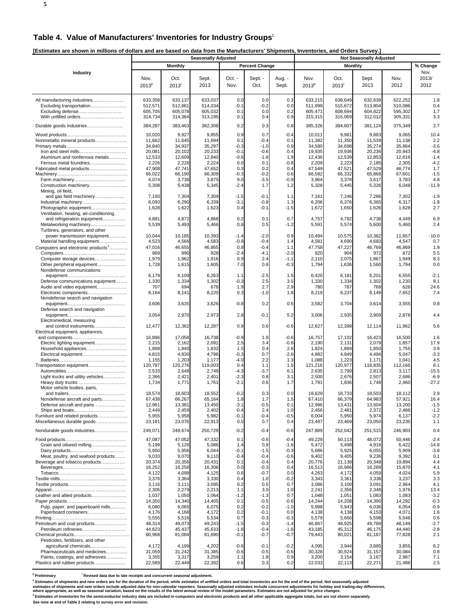### **Table 4. Value of Manufacturers' Inventories for Industry Groups**<sup>1</sup>

**[Estimates are shown in millions of dollars and are based on data from the Manufacturers' Shipments, Inventories, and Orders Survey.]** 

| Lournaloo are one mir in miniono or aonare and are baood on a                                                                                                                                                                                                                                                              | a nom aro manaraotaroro ompinomo<br><b>Seasonally Adjusted</b>                                                                                                                   |                                                                                                                                                                                  |                                                                                                                                                                                  |                                                                                                                                                        |                                                                                                                                                                      |                                                                                                                                                                       | <b>Not Seasonally Adjusted</b>                                                                                                                                                   |                                                                                                                                                                                  |                                                                                                                                                                                  |                                                                                                                                                                                  |                                                                                                                                                           |  |
|----------------------------------------------------------------------------------------------------------------------------------------------------------------------------------------------------------------------------------------------------------------------------------------------------------------------------|----------------------------------------------------------------------------------------------------------------------------------------------------------------------------------|----------------------------------------------------------------------------------------------------------------------------------------------------------------------------------|----------------------------------------------------------------------------------------------------------------------------------------------------------------------------------|--------------------------------------------------------------------------------------------------------------------------------------------------------|----------------------------------------------------------------------------------------------------------------------------------------------------------------------|-----------------------------------------------------------------------------------------------------------------------------------------------------------------------|----------------------------------------------------------------------------------------------------------------------------------------------------------------------------------|----------------------------------------------------------------------------------------------------------------------------------------------------------------------------------|----------------------------------------------------------------------------------------------------------------------------------------------------------------------------------|----------------------------------------------------------------------------------------------------------------------------------------------------------------------------------|-----------------------------------------------------------------------------------------------------------------------------------------------------------|--|
|                                                                                                                                                                                                                                                                                                                            |                                                                                                                                                                                  | <b>Monthly</b>                                                                                                                                                                   |                                                                                                                                                                                  |                                                                                                                                                        | <b>Percent Change</b>                                                                                                                                                |                                                                                                                                                                       |                                                                                                                                                                                  | <b>Monthly</b>                                                                                                                                                                   |                                                                                                                                                                                  |                                                                                                                                                                                  | % Change                                                                                                                                                  |  |
| Industry                                                                                                                                                                                                                                                                                                                   | Nov.<br>2013 <sup>p</sup>                                                                                                                                                        | Oct.<br>2013 <sup>r</sup>                                                                                                                                                        | Sept.<br>2013                                                                                                                                                                    | Oct. -<br>Nov.                                                                                                                                         | Sept. -<br>Oct.                                                                                                                                                      | Aug. -<br>Sept.                                                                                                                                                       | Nov.<br>2013 <sup>p</sup>                                                                                                                                                        | Oct.<br>2013 <sup>r</sup>                                                                                                                                                        | Sept.<br>2013                                                                                                                                                                    | Nov.<br>2012                                                                                                                                                                     | Nov.<br>2013/<br>2012                                                                                                                                     |  |
| All manufacturing industries<br>Excluding transportation<br>Excluding defense<br>With unfilled orders                                                                                                                                                                                                                      | 633,358<br>512,571<br>605,705<br>314,734                                                                                                                                         | 633,137<br>512,861<br>605,078<br>314,364                                                                                                                                         | 633,037<br>514,034<br>605,032<br>313,195                                                                                                                                         | 0.0<br>$-0.1$<br>0.1<br>0.1                                                                                                                            | 0.0<br>$-0.2$<br>0.0<br>0.4                                                                                                                                          | 0.3<br>0.0<br>0.2<br>0.9                                                                                                                                              | 633,215<br>511,999<br>605,471<br>315,315                                                                                                                                         | 636,649<br>515,672<br>608,694<br>315,069                                                                                                                                         | 632,639<br>513,804<br>604,822<br>312,012                                                                                                                                         | 622,252<br>510,086<br>595,302<br>305,331                                                                                                                                         | 1.8<br>0.4<br>1.7<br>3.3                                                                                                                                  |  |
| Durable goods industries                                                                                                                                                                                                                                                                                                   | 384,287                                                                                                                                                                          | 383,463                                                                                                                                                                          | 382,308                                                                                                                                                                          | 0.2                                                                                                                                                    | 0.3                                                                                                                                                                  | 0.8                                                                                                                                                                   | 385,326                                                                                                                                                                          | 384,607                                                                                                                                                                          | 381,124                                                                                                                                                                          | 375,349                                                                                                                                                                          | 2.7                                                                                                                                                       |  |
| Nonmetallic mineral products<br>Aluminum and nonferrous metals<br>Fabricated metal products<br>Construction machinery                                                                                                                                                                                                      | 10,020<br>11,662<br>34,840<br>20,081<br>12,533<br>2,226<br>47,908<br>66,022<br>4,074<br>5,308                                                                                    | 9,927<br>11,645<br>34,937<br>20,102<br>12,609<br>2,226<br>47,741<br>66,190<br>3,738<br>5,438                                                                                     | 9,855<br>11,694<br>35,297<br>20,233<br>12,840<br>2,224<br>47,652<br>66,309<br>3,875<br>5,345                                                                                     | 0.9<br>0.1<br>$-0.3$<br>$-0.1$<br>$-0.6$<br>0.0<br>0.3<br>$-0.3$<br>9.0<br>-2.4                                                                        | 0.7<br>$-0.4$<br>$-1.0$<br>$-0.6$<br>-1.8<br>0.1<br>0.2<br>$-0.2$<br>$-3.5$<br>1.7                                                                                   | $-0.4$<br>0.1<br>0.9<br>0.4<br>1.9<br>$-0.8$<br>0.4<br>0.6<br>$-0.9$<br>1.2                                                                                           | 10,011<br>11,382<br>34,580<br>19,935<br>12,436<br>2,209<br>47,549<br>66,582<br>3,964<br>5,328                                                                                    | 9,981<br>11,350<br>34,698<br>19,936<br>12,539<br>2,223<br>47,521<br>66,332<br>3,378<br>5,445                                                                                     | 9,863<br>11,539<br>35,274<br>20,236<br>12,853<br>2,185<br>47,529<br>65,868<br>3,617<br>5,326                                                                                     | 9,065<br>11,138<br>35,864<br>20,943<br>12,616<br>2,305<br>46,774<br>67,601<br>3,783<br>6,048                                                                                     | 10.4<br>2.2<br>$-3.6$<br>$-4.8$<br>$-1.4$<br>$-4.2$<br>1.7<br>$-1.5$<br>4.8<br>$-11.9$                                                                    |  |
| Mining, oil field,<br>and gas field machinery<br>Photographic equipment<br>Ventilation, heating, air-conditioning,                                                                                                                                                                                                         | 7,193<br>6,093<br>1,628                                                                                                                                                          | 7,304<br>6,290<br>1,622                                                                                                                                                          | 7,309<br>6,339<br>1,623                                                                                                                                                          | $-1.5$<br>$-3.1$<br>0.4                                                                                                                                | $-0.1$<br>-0.8<br>-0.1                                                                                                                                               | 1.1<br>1.3<br>$-1.5$                                                                                                                                                  | 7,161<br>6,206<br>1,672                                                                                                                                                          | 7,246<br>6,376<br>1,650                                                                                                                                                          | 7,286<br>6,365<br>1,626                                                                                                                                                          | 7,302<br>6,317<br>1,628                                                                                                                                                          | $-1.9$<br>$-1.8$<br>2.7                                                                                                                                   |  |
| and refrigeration equipment<br>Metalworking machinery<br>Turbines, generators, and other                                                                                                                                                                                                                                   | 4,881<br>5,539                                                                                                                                                                   | 4,872<br>5,493                                                                                                                                                                   | 4,868<br>5,466                                                                                                                                                                   | 0.2<br>0.8                                                                                                                                             | 0.1<br>0.5                                                                                                                                                           | 0.7<br>$-1.2$                                                                                                                                                         | 4,757<br>5,591                                                                                                                                                                   | 4,792<br>5,574                                                                                                                                                                   | 4,738<br>5,600                                                                                                                                                                   | 4,449<br>5,460                                                                                                                                                                   | 6.9<br>2.4                                                                                                                                                |  |
| power transmission equipment<br>Material handling equipment<br>Computers and electronic products <sup>2</sup><br>Computer storage devices<br>Other peripheral equipment                                                                                                                                                    | 10,044<br>4,523<br>47,016<br>869<br>1,979<br>1,728                                                                                                                               | 10,185<br>4,566<br>46,655<br>890<br>1,962<br>1,615                                                                                                                               | 10,393<br>4,583<br>46,865<br>928<br>1,916<br>1,605                                                                                                                               | $-1.4$<br>$-0.9$<br>0.8<br>$-2.4$<br>0.9<br>7.0                                                                                                        | $-2.0$<br>$-0.4$<br>$-0.4$<br>-4.1<br>2.4<br>0.6                                                                                                                     | 0.9<br>1.4<br>1.1<br>$-2.0$<br>$-1.1$<br>$-0.3$                                                                                                                       | 10,494<br>4,581<br>47,758<br>920<br>2,110<br>1,794                                                                                                                               | 10,575<br>4,690<br>47,227<br>904<br>2,075<br>1,636                                                                                                                               | 10,382<br>4,683<br>46,769<br>972<br>1,867<br>1,560                                                                                                                               | 11,657<br>4,547<br>46,869<br>872<br>1,949<br>1,794                                                                                                                               | $-10.0$<br>0.7<br>1.9<br>5.5<br>8.3<br>0.0                                                                                                                |  |
| Nondefense communications<br>Defense communications equipment<br>Audio and video equipment<br>Electronic components                                                                                                                                                                                                        | 6,179<br>1,330<br>707<br>8,164                                                                                                                                                   | 6,109<br>1,334<br>694<br>8,141                                                                                                                                                   | 6,263<br>1,302<br>676<br>8,220                                                                                                                                                   | 1.1<br>$-0.3$<br>1.9<br>0.3                                                                                                                            | $-2.5$<br>2.5<br>2.7<br>$-1.0$                                                                                                                                       | 1.5<br>3.5<br>2.9<br>1.8                                                                                                                                              | 6,420<br>1,330<br>780<br>8,219                                                                                                                                                   | 6,181<br>1,334<br>787<br>8,237                                                                                                                                                   | 6,201<br>1,302<br>769<br>8,149                                                                                                                                                   | 6,555<br>1,230<br>626<br>7,652                                                                                                                                                   | $-2.1$<br>8.1<br>24.6<br>7.4                                                                                                                              |  |
| Nondefense search and navigation                                                                                                                                                                                                                                                                                           | 3,606                                                                                                                                                                            | 3,635                                                                                                                                                                            | 3,626                                                                                                                                                                            | $-0.8$                                                                                                                                                 | 0.2                                                                                                                                                                  | 0.5                                                                                                                                                                   | 3,582                                                                                                                                                                            | 3,704                                                                                                                                                                            | 3,614                                                                                                                                                                            | 3,555                                                                                                                                                                            | 0.8                                                                                                                                                       |  |
| Defense search and navigation                                                                                                                                                                                                                                                                                              | 3,054                                                                                                                                                                            | 2,970                                                                                                                                                                            | 2,973                                                                                                                                                                            | 2.8                                                                                                                                                    | $-0.1$                                                                                                                                                               | 5.2                                                                                                                                                                   | 3,006                                                                                                                                                                            | 2,935                                                                                                                                                                            | 2,909                                                                                                                                                                            | 2,878                                                                                                                                                                            | 4.4                                                                                                                                                       |  |
| Electromedical, measuring<br>and control instruments<br>Electrical equipment, appliances,                                                                                                                                                                                                                                  | 12,477                                                                                                                                                                           | 12,362                                                                                                                                                                           | 12,287                                                                                                                                                                           | 0.9                                                                                                                                                    | 0.6                                                                                                                                                                  | $-0.6$                                                                                                                                                                | 12,627                                                                                                                                                                           | 12,399                                                                                                                                                                           | 12,114                                                                                                                                                                           | 11,962                                                                                                                                                                           | 5.6                                                                                                                                                       |  |
| Electric lighting equipment<br>Transportation equipment<br>Light trucks and utility vehicles                                                                                                                                                                                                                               | 16,896<br>2,215<br>1,868<br>4,815<br>1,155<br>120,787<br>2,533<br>2,366<br>1,734                                                                                                 | 17,058<br>2,162<br>1,840<br>4,830<br>1,203<br>120,276<br>2,648<br>2,421<br>1,771                                                                                                 | 16,738<br>2,091<br>1,832<br>4,796<br>1,177<br>119,003<br>2,749<br>2,401<br>1,761                                                                                                 | $-0.9$<br>2.5<br>1.5<br>$-0.3$<br>$-4.0$<br>0.4<br>$-4.3$<br>$-2.3$<br>$-2.1$                                                                          | 1.9<br>3.4<br>0.4<br>0.7<br>2.2<br>1.1<br>$-3.7$<br>0.8<br>0.6                                                                                                       | $-0.6$<br>$-0.8$<br>2.6<br>$-2.6$<br>1.3<br>1.5<br>6.1<br>3.1<br>1.7                                                                                                  | 16,757<br>2,190<br>1,824<br>4,882<br>1,088<br>121,216<br>2,635<br>2,500<br>1,791                                                                                                 | 17,102<br>2,131<br>1,869<br>4,849<br>1,223<br>120,977<br>2,799<br>2,676<br>1,836                                                                                                 | 16,423<br>2,079<br>1,850<br>4,494<br>1,171<br>118,835<br>2,813<br>2,507<br>1,748                                                                                                 | 16,500<br>1,857<br>1,755<br>5,047<br>1,041<br>112,166<br>3,117<br>2,686<br>2,460                                                                                                 | 1.6<br>17.9<br>3.9<br>$-3.3$<br>4.5<br>8.1<br>$-15.5$<br>$-6.9$<br>$-27.2$                                                                                |  |
| Motor vehicle bodies, parts,<br>Nondefense aircraft and parts<br>Defense aircraft and parts<br>Furniture and related products<br>Miscellaneous durable goods                                                                                                                                                               | 18,574<br>67,438<br>12,961<br>2,449<br>5,955<br>23,181                                                                                                                           | 18,603<br>66,267<br>13,381<br>2,459<br>5,958<br>23,076                                                                                                                           | 18,552<br>65,164<br>13,450<br>2,402<br>5,982<br>22,913                                                                                                                           | $-0.2$<br>1.8<br>$-3.1$<br>$-0.4$<br>$-0.1$<br>0.5                                                                                                     | 0.3<br>1.7<br>$-0.5$<br>2.4<br>-0.4<br>0.7                                                                                                                           | 0.0<br>1.5<br>0.1<br>1.0<br>$-0.5$<br>0.4                                                                                                                             | 18,629<br>67,410<br>12,996<br>2,456<br>6,004<br>23,487                                                                                                                           | 18,733<br>66,379<br>13,431<br>2,481<br>5,950<br>23,469                                                                                                                           | 18,503<br>64,983<br>13,504<br>2,372<br>5,974<br>23,050                                                                                                                           | 18,112<br>57,921<br>13,200<br>2,486<br>6,137<br>23,235                                                                                                                           | 2.9<br>16.4<br>$-1.5$<br>$-1.2$<br>$-2.2$<br>1.1                                                                                                          |  |
| Nondurable goods industries<br>Grain and oilseed milling<br>Meat, poultry, and seafood products<br>Beverage and tobacco products<br>Leather and allied products<br>Pulp, paper, and paperboard mills<br>Paperboard containers<br>Petroleum and coal products<br>Petroleum refineries<br>Pesticides, fertilizers, and other | 249,071<br>47,087<br>5,199<br>5,950<br>9,033<br>20,374<br>16,252<br>4,122<br>3,376<br>3,116<br>2,305<br>1,037<br>14,350<br>6,080<br>4,176<br>5,555<br>48,314<br>44,623<br>80,968 | 249,674<br>47,052<br>5,126<br>5,956<br>9,070<br>20,356<br>16,258<br>4,098<br>3,364<br>3,111<br>2,279<br>1,050<br>14,340<br>6,065<br>4,168<br>5,516<br>49,073<br>45,437<br>81,084 | 250,729<br>47,332<br>5,086<br>6,044<br>9,110<br>20,431<br>16,306<br>4,125<br>3,330<br>3,095<br>2,213<br>1,064<br>14,405<br>6,075<br>4,172<br>5,534<br>49,243<br>45,633<br>81,690 | $-0.2$<br>0.1<br>1.4<br>$-0.1$<br>$-0.4$<br>0.1<br>0.0<br>0.6<br>0.4<br>0.2<br>1.1<br>$-1.2$<br>0.1<br>0.2<br>0.2<br>0.7<br>$-1.5$<br>$-1.8$<br>$-0.1$ | $-0.4$<br>$-0.6$<br>0.8<br>-1.5<br>-0.4<br>$-0.4$<br>$-0.3$<br>$-0.7$<br>1.0<br>0.5<br>3.0<br>-1.3<br>$-0.5$<br>$-0.2$<br>$-0.1$<br>$-0.3$<br>$-0.3$<br>-0.4<br>-0.7 | $-0.6$<br>$-0.4$<br>$-1.6$<br>$-0.3$<br>$-0.6$<br>0.4<br>0.4<br>0.0<br>$-0.2$<br>0.7<br>1.0<br>0.7<br>$-0.6$<br>$-1.0$<br>0.0<br>$-0.3$<br>$-1.4$<br>$-1.6$<br>$-0.7$ | 247,889<br>49,229<br>5,472<br>5,686<br>9,402<br>20,776<br>16,513<br>4,263<br>3,343<br>3,086<br>2,241<br>1,048<br>14,244<br>5,998<br>4,138<br>5,579<br>46,867<br>43,185<br>79,443 | 252,042<br>50,113<br>5,498<br>5,925<br>9,405<br>21,138<br>16,966<br>4,172<br>3,361<br>3,100<br>2,356<br>1,051<br>14,208<br>5,943<br>4,138<br>5,656<br>48,925<br>45,312<br>80,021 | 251,515<br>48,072<br>4,916<br>6,055<br>9,236<br>20,348<br>16,289<br>4,059<br>3,338<br>3,091<br>2,348<br>1,083<br>14,390<br>6,036<br>4,153<br>5,598<br>49,789<br>46,175<br>81,187 | 246,903<br>50,446<br>6,422<br>5,909<br>9,392<br>19,894<br>15,870<br>4,024<br>3,237<br>2,964<br>1,976<br>1,083<br>14,292<br>6,054<br>4,071<br>5,546<br>48,149<br>44,440<br>77,828 | 0.4<br>$-2.4$<br>-14.8<br>$-3.8$<br>0.1<br>4.4<br>4.1<br>5.9<br>3.3<br>4.1<br>13.4<br>$-3.2$<br>$-0.3$<br>$-0.9$<br>1.6<br>0.6<br>$-2.7$<br>$-2.8$<br>2.1 |  |
| agricultural chemicals<br>Pharmaceuticals and medicines<br>Paints, coatings, and adhesives<br>Plastics and rubber products                                                                                                                                                                                                 | 4,172<br>31,059<br>3,355<br>22,589                                                                                                                                               | 4,199<br>31,242<br>3,317<br>22,449                                                                                                                                               | 4,202<br>31,385<br>3,259<br>22,392                                                                                                                                               | $-0.6$<br>$-0.6$<br>1.1<br>0.6                                                                                                                         | $-0.1$<br>$-0.5$<br>1.8<br>0.3                                                                                                                                       | $-0.2$<br>$-0.6$<br>0.9<br>0.2                                                                                                                                        | 4,095<br>30,328<br>3,200<br>22,033                                                                                                                                               | 3,944<br>30,924<br>3,154<br>22,113                                                                                                                                               | 3,885<br>31,157<br>3,167<br>22,271                                                                                                                                               | 3,855<br>30,084<br>2,987<br>21,488                                                                                                                                               | 6.2<br>0.8<br>7.1<br>2.5                                                                                                                                  |  |

<sup>p</sup> Preliminary **reliminary Revised data due to late receipts and concurrent seasonal adjustment.** 

<sup>1</sup> Estimates of shipments and new orders are for the duration of the period, while estimates of unfilled orders and total inventories are for the end of the period. Not seasonally adjusted

estimates of shipments and new orders include adjusted data for non-calendar reporters. Seasonally adjusted estimates include concurrent adjustments for holiday and trading-day differences,<br>where appropriate, as well as se

**See note at end of Table 2 relating to survey error and revision.**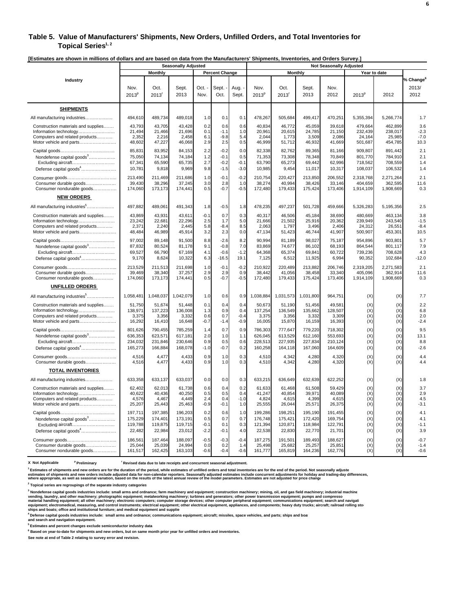#### **Table 5. Value of Manufacturers' Shipments, New Orders, Unfilled Orders, and Total Inventories for**  Topical Series<sup>1, 2</sup>

**[Estimates are shown in millions of dollars and are based on data from the Manufacturers' Shipments, Inventories, and Orders Survey.]** 

|                                           | <b>Seasonally Adjusted</b> |              |               |              |                       | <b>Not Seasonally Adjusted</b> |                           |                             |               |              |                   |           |                                        |
|-------------------------------------------|----------------------------|--------------|---------------|--------------|-----------------------|--------------------------------|---------------------------|-----------------------------|---------------|--------------|-------------------|-----------|----------------------------------------|
|                                           |                            | Monthly      |               |              | <b>Percent Change</b> |                                |                           | <b>Monthly</b>              |               |              | Year to date      |           |                                        |
| Industry                                  | Nov.<br>2013 <sup>p</sup>  | Oct.<br>2013 | Sept.<br>2013 | Oct.<br>Nov. | Sept.<br>Oct.         | Aug.<br>Sept.                  | Nov.<br>2013 <sup>p</sup> | Oct.<br>$2013$ <sup>r</sup> | Sept.<br>2013 | Nov.<br>2012 | 2013 <sup>p</sup> | 2012      | % Change <sup>6</sup><br>2013/<br>2012 |
| <b>SHIPMENTS</b>                          |                            |              |               |              |                       |                                |                           |                             |               |              |                   |           |                                        |
| All manufacturing industries              | 494,610                    | 489,734      | 489,018       | 1.0          | 0.1                   | 0.1                            | 478,267                   | 505,684                     | 499,417       | 470,251      | 5,355,394         | 5,266,774 | 1.7                                    |
| Construction materials and supplies       | 43.793                     | 43.705       | 43.428        | 0.2          | 0.6                   | 0.6                            | 40.834                    | 46.772                      | 45.059        | 39.618       | 479.664           | 462.899   | 3.6                                    |
| Information technology                    | 21,494                     | 21,466       | 21,696        | 0.1          | $-1.1$                | 1.0                            | 20,96'                    | 20,615                      | 24,785        | 21,150       | 232,439           | 238,017   | $-2.3$                                 |
| Computers and related products            | 2,352                      | 2,216        | 2,458         | 6.1          | $-9.8$                | 5.4                            | 2,044                     | 1,773                       | 3,509         | 2,086        | 24,164            | 25,985    | $-7.0$                                 |
| Motor vehicle and parts                   | 48,602                     | 47,227       | 46,068        | 2.9          | 2.5                   | 0.5                            | 46,999                    | 51,712                      | 46,932        | 41,669       | 501,687           | 454,785   | 10.3                                   |
|                                           | 85,831                     | 83,952       | 84,153        | 2.2          | $-0.2$                | 0.0                            | 82,338                    | 82,762                      | 89,365        | 81,166       | 909,807           | 891,442   | 2.1                                    |
| Nondefense capital goods <sup>3</sup>     | 75,050                     | 74,134       | 74,184        | 1.2          | $-0.1$                | 0.5                            | 71,353                    | 73,308                      | 78,348        | 70,849       | 801,770           | 784,910   | 2.1                                    |
| Excluding aircraft                        | 67,341                     | 65,590       | 65,735        | 2.7          | $-0.2$                | $-0.1$                         | 63,790                    | 65,273                      | 69,442        | 62,996       | 718,562           | 708,559   | 1.4                                    |
| Defense capital goods <sup>4</sup>        | 10,781                     | 9,818        | 9,969         | 9.8          | $-1.5$                | $-3.0$                         | 10,985                    | 9,454                       | 11,017        | 10,317       | 108,037           | 106,532   | 1.4                                    |
|                                           | 213,490                    | 211,469      | 211,686       | 1.0          | $-0.1$                | $-0.2$                         | 210,754                   | 220.427                     | 213,850       | 206,552      | 2,318,768         | 2,271,264 | 2.1                                    |
| Consumer durable goods                    | 39,430                     | 38.296       | 37,245        | 3.0          | 2.8                   | 1.0                            | 38,274                    | 40,994                      | 38,426        | 33,146       | 404.659           | 362.595   | 11.6                                   |
| Consumer nondurable goods                 | 174,060                    | 173,173      | 174,441       | 0.5          | $-0.7$                | $-0.5$                         | 172,480                   | 179,433                     | 175,424       | 173,406      | 1,914,109         | 1,908,669 | 0.3                                    |
| <b>NEW ORDERS</b>                         |                            |              |               |              |                       |                                |                           |                             |               |              |                   |           |                                        |
| All manufacturing industries <sup>5</sup> | 497,882                    | 489,061      | 491,343       | 1.8          | $-0.5$                | 1.8                            | 478,235                   | 497,237                     | 501,728       | 459,666      | 5,326,283         | 5,195,356 | 2.5                                    |
| Construction materials and supplies       | 43,869                     | 43,931       | 43,611        | $-0.1$       | 0.7                   | 0.3                            | 40,317                    | 46,506                      | 45,184        | 38,690       | 480,669           | 463,134   | 3.8                                    |
| Information technology                    | 23,242                     | 22,681       | 22,296        | 2.5          | 1.7                   | $5.0\,$                        | 21,666                    | 21,502                      | 25,916        | 20,362       | 239,949           | 243,540   | $-1.5$                                 |
| Computers and related products            | 2,371                      | 2,240        | 2,445         | 5.8          | -8.4                  | 8.5                            | 2,063                     | 1,797                       | 3,496         | 2,406        | 24,312            | 26,551    | $-8.4$                                 |
| Motor vehicle and parts                   | 48,484                     | 46,989       | 45,914        | 3.2          | 2.3                   | 0.0                            | 47,134                    | 51,423                      | 46,744        | 41,907       | 500,907           | 453,301   | 10.5                                   |
|                                           | 97.002                     | 89.148       | 91,500        | 8.8          | $-2.6$                | 8.2                            | 90.994                    | 81.189                      | 98.027        | 75.187       | 954.896           | 903.801   | 5.7                                    |
| Nondefense capital goods <sup>3</sup>     | 87,832                     | 80,524       | 81,178        | 9.1          | $-0.8$                | 7.0                            | 83,869                    | 74,677                      | 86,102        | 68,193       | 864,544           | 801,117   | 7.9                                    |
| Excluding aircraft                        | 69,527                     | 66,790       | 67,169        | 4.1          | $-0.6$                | $-1.2$                         | 64,368                    | 65.374                      | 69.841        | 60,722       | 739,236           | 708,628   | 4.3                                    |
| Defense capital goods <sup>4</sup>        | 9,170                      | 8,624        | 10,322        | 6.3          | -16.5                 | 19.1                           | 7,125                     | 6,512                       | 11,925        | 6,994        | 90,352            | 102,684   | $-12.0$                                |
|                                           | 213,529                    | 211,513      | 211,698       | 1.0          | $-0.1$                | $-0.2$                         | 210,922                   | 220,489                     | 213,882       | 206,746      | 2,319,205         | 2,271,583 | 2.1                                    |
| Consumer durable goods                    | 39,469                     | 38,340       | 37,257        | 2.9          | 2.9                   | 0.9                            | 38,442                    | 41,056                      | 38,458        | 33,340       | 405,096           | 362,914   | 11.6                                   |
| Consumer nondurable goods                 | 174,060                    | 173,173      | 174,441       | 0.5          | $-0.7$                | $-0.5$                         | 172,480                   | 179,433                     | 175,424       | 173,406      | 1,914,109         | 1,908,669 | 0.3                                    |
| <b>UNFILLED ORDERS</b>                    |                            |              |               |              |                       |                                |                           |                             |               |              |                   |           |                                        |
| All manufacturing industries <sup>5</sup> | 1,058,481                  | 1,048,037    | 1,042,079     | 1.0          | 0.6                   | 0.9                            | 1,038,884                 | 1,031,573                   | 1,031,800     | 964,751      | (X)               | (X)       | 7.7                                    |
| Construction materials and supplies       | 51,750                     | 51,674       | 51,448        | 0.1          | 0.4                   | 0.4                            | 50,673                    | 51,190                      | 51,456        | 49,581       | (X)               | (X)       | 2.2                                    |
| Information technology                    | 138,971                    | 137,223      | 136,008       | 1.3          | 0.9                   | 0.4                            | 137,254                   | 136,549                     | 135,662       | 128,507      | (X)               | (X)       | 6.8                                    |
| Computers and related products            | 3,375                      | 3.356        | 3.332         | 0.6          | 0.7                   | $-0.4$                         | 3.375                     | 3.356                       | 3.332         | 3.309        | (X)               | (X)       | 2.0                                    |
| Motor vehicle and parts                   | 16,292                     | 16,410       | 16,648        | $-0.7$       | $-1.4$                | $-0.9$                         | 16,005                    | 15,870                      | 16,159        | 16,393       | (X)               | (X)       | $-2.4$                                 |
|                                           | 801,626                    | 790,455      | 785,259       | 1.4          | 0.7                   | 0.9                            | 786,303                   | 777,647                     | 779,220       | 718,302      | (X)               | (X)       | 9.5                                    |
| Nondefense capital goods <sup>3</sup>     | 636,353                    | 623,571      | 617,181       | 2.0          | 1.0                   | 1.1                            | 626,045                   | 613,529                     | 612,160       | 553,693      | (X)               | (X)       | 13.1                                   |
| Excluding aircraft                        | 234,032                    | 231,846      | 230,646       | 0.9          | 0.5                   | 0.6                            | 228,513                   | 227,935                     | 227,834       | 210,124      | (X)               | (X)       | 8.8                                    |
| Defense capital goods <sup>4</sup>        | 165,273                    | 166,884      | 168,078       | $-1.0$       | $-0.7$                | 0.2                            | 160,258                   | 164,118                     | 167,060       | 164,609      | (X)               | (X)       | $-2.6$                                 |
|                                           | 4,516                      | 4,477        | 4,433         | 0.9          | 1.0                   | 0.3                            | 4,510                     | 4,342                       | 4,280         | 4,320        | (X)               | (X)       | 4.4                                    |
| Consumer durable goods                    | 4,516                      | 4,477        | 4,433         | 0.9          | 1.0                   | 0.3                            | 4,510                     | 4,342                       | 4,280         | 4,320        | (X)               | (X)       | 4.4                                    |
| <b>TOTAL INVENTORIES</b>                  |                            |              |               |              |                       |                                |                           |                             |               |              |                   |           |                                        |
| All manufacturing industries              | 633,358                    | 633,137      | 633,037       | 0.0          | 0.0                   | 0.3                            | 633,215                   | 636,649                     | 632,639       | 622,252      | (X)               | (X)       | 1.8                                    |
| Construction materials and supplies       | 62,402                     | 62,013       | 61,738        | 0.6          | 0.4                   | 0.2                            | 61,633                    | 61,468                      | 61,508        | 59,429       | (X)               | (X)       | 3.7                                    |
| Information technology                    | 40,622                     | 40,436       | 40,250        | 0.5          | 0.5                   | 0.4                            | 41,247                    | 40,854                      | 39,971        | 40,089       | (X)               | (X)       | 2.9                                    |
| Computers and related products            | 4,576                      | 4,467        | 4,449         | 2.4          | 0.4                   | $-1.0$                         | 4,824                     | 4,615                       | 4,399         | 4,615        | (X)               | (X)       | 4.5                                    |
| Motor vehicle and parts                   | 25,207                     | 25,443       | 25,463        | $-0.9$       | $-0.1$                | 1.0                            | 25,555                    | 26,044                      | 25,571        | 26,375       | (X)               | (X)       | $-3.1$                                 |
|                                           | 197,711                    | 197,385      | 196,203       | 0.2          | 0.6                   | 1.0                            | 199,286                   | 198,251                     | 195,190       | 191,455      | (X)               | (X)       | 4.1                                    |
| Nondefense capital goods <sup>3</sup>     | 175,229                    | 174,401      | 173,191       | 0.5          | 0.7                   | 0.7                            | 176,748                   | 175,421                     | 172,420       | 169,754      | (X)               | (X)       | 4.1                                    |
| Excluding aircraft                        | 119,788                    | 119,875      | 119,715       | $-0.1$       | 0.1                   | 0.3                            | 121,394                   | 120,871                     | 118,984       | 122,791      | (X)               | (X)       | $-1.1$                                 |
| Defense capital goods <sup>4</sup>        | 22,482                     | 22,984       | 23,012        | $-2.2$       | $-0.1$                | 4.0                            | 22,538                    | 22,830                      | 22,770        | 21,701       | (X)               | (X)       | 3.9                                    |
|                                           | 186,561                    | 187,464      | 188,097       | $-0.5$       | $-0.3$                | $-0.4$                         | 187,275                   | 191,501                     | 189,493       | 188,627      | (X)               | (X)       | $-0.7$                                 |
| Consumer durable goods                    | 25,044                     | 25,039       | 24,994        | 0.0          | 0.2                   | 1.4                            | 25,498                    | 25,682                      | 25,257        | 25,851       | (X)               | (X)       | $-1.4$                                 |
| Consumer nondurable goods                 | 161,517                    | 162,425      | 163,103       | $-0.6$       | $-0.4$                | $-0.6$                         | 161,777                   | 165,819                     | 164,236       | 162,776      | (X)               | (X)       | $-0.6$                                 |

**X Not Applicable p Preliminary r Revised data due to late receipts and concurrent seasonal adjustment.**

**1 Estimates of shipments and new orders are for the duration of the period, while estimates of unfilled orders and total inventories are for the end of the period. Not seasonally adjuste** estimates of shipments and new orders include adta for mom-adendar reporters. Seasonally adjusted estimates include concurrent adjustments for holday and trading-day differences,<br>where appropriate, as well as seasonal vari

**2 Topical series are regroupings of the separate industry categories**

<sup>3</sup> Nondefense capital goods industries include: small arms and ordnance; farm machinery and equipment; construction machinery; mining, oil, and gas field machinery; industrial machine<br>vending, laundry, and other machinery

**4 Defense capital goods industries include: small arms and ordnance; communications equipment; aircraft; missiles, space vehicles, and parts; ships and boat and search and navigation equipment.**

**5 Estimates and percent changes exclude semiconductor industry data**

**6 Based on year-to-date for shipments and new orders, but on same month prior year for unfilled orders and inventories.**

**See note at end of Table 2 relating to survey error and revision.**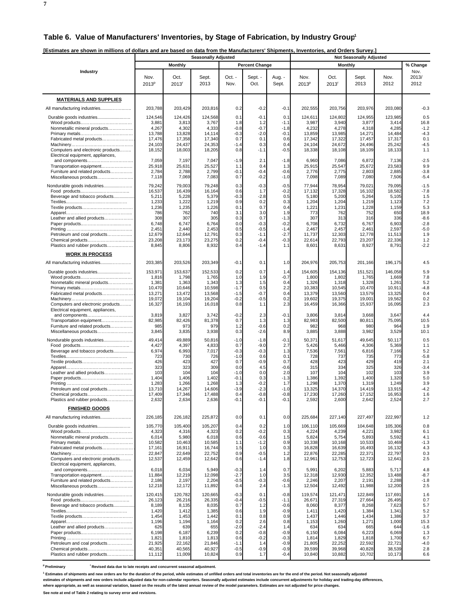**7**

|                                                                        |                           |                           | <b>Seasonally Adjusted</b> |                  |                       |                  |                           |                           | <b>Not Seasonally Adjusted</b> |                   |                       |
|------------------------------------------------------------------------|---------------------------|---------------------------|----------------------------|------------------|-----------------------|------------------|---------------------------|---------------------------|--------------------------------|-------------------|-----------------------|
|                                                                        |                           | <b>Monthly</b>            |                            |                  | <b>Percent Change</b> |                  |                           | <b>Monthly</b>            |                                |                   | % Change              |
| Industry                                                               | Nov.<br>2013 <sup>p</sup> | Oct.<br>2013 <sup>r</sup> | Sept.<br>2013              | Oct. -<br>Nov.   | Sept. -<br>Oct.       | Aug. -<br>Sept.  | Nov.<br>2013 <sup>p</sup> | Oct.<br>2013 <sup>r</sup> | Sept.<br>2013                  | Nov.<br>2012      | Nov.<br>2013/<br>2012 |
| <b>MATERIALS AND SUPPLIES</b>                                          |                           |                           |                            |                  |                       |                  |                           |                           |                                |                   |                       |
| All manufacturing industries                                           | 203,788                   | 203,429                   | 203,816                    | 0.2              | $-0.2$                | $-0.1$           | 202,555                   | 203,756                   | 203,976                        | 203,080           | $-0.3$                |
| Durable goods industries                                               | 124,546                   | 124,426                   | 124,568                    | 0.1              | $-0.1$                | 0.1              | 124,611                   | 124,802                   | 124,955                        | 123,985           | 0.5                   |
| Nonmetallic mineral products                                           | 3,881<br>4,267            | 3,813<br>4,302            | 3,767<br>4,333             | 1.8<br>$-0.8$    | 1.2<br>$-0.7$         | $-1.1$<br>$-1.8$ | 3,987<br>4,232            | 3,940<br>4,278            | 3,877<br>4,318                 | 3,414<br>4,285    | 16.8<br>$-1.2$        |
|                                                                        | 13,788                    | 13,828                    | 14,114                     | $-0.3$           | $-2.0$                | $-0.1$           | 13,859                    | 13,985                    | 14,271                         | 14,484            | $-4.3$                |
| Fabricated metal products                                              | 17,476<br>24,103          | 17,358<br>24,437          | 17,340<br>24,353           | 0.7              | 0.1<br>0.3            | 0.6<br>0.4       | 17,342<br>24,104          | 17,322<br>24,672          | 17,457<br>24,496               | 17,317<br>25,242  | 0.1<br>$-4.5$         |
| Computers and electronic products<br>Electrical equipment, appliances, | 18,152                    | 18,003                    | 18,205                     | $-1.4$<br>0.8    | $-1.1$                | $-0.5$           | 18,338                    | 18,108                    | 18,109                         | 18,133            | 1.1                   |
| and components<br>Transportation equipment                             | 7,059<br>25,918           | 7,197<br>25,631           | 7,047<br>25,527            | $-1.9$<br>1.1    | 2.1<br>0.4            | $-1.8$<br>1.3    | 6,960<br>25,915           | 7,086<br>25,547           | 6,872<br>25,672                | 7,136<br>23,583   | $-2.5$<br>9.9         |
| Furniture and related products                                         | 2,784                     | 2,788                     | 2,799                      | -0.1             | $-0.4$                | $-0.6$           | 2,776                     | 2,775                     | 2,803                          | 2,885             | $-3.8$                |
| Miscellaneous products                                                 | 7,118                     | 7,069                     | 7,083                      | 0.7              | $-0.2$                | $-1.0$           | 7,098                     | 7,089                     | 7,080                          | 7,506             | $-5.4$                |
| Nondurable goods industries                                            | 79,242<br>16,537          | 79,003<br>16,439          | 79,248<br>16,164           | 0.3<br>0.6       | $-0.3$<br>1.7         | $-0.5$<br>$-0.2$ | 77,944<br>17,132          | 78,954<br>17,328          | 79,021<br>16,102               | 79,095<br>18,582  | $-1.5$<br>$-7.8$      |
| Beverage and tobacco products                                          | 5,211                     | 5,228                     | 5,379                      | $-0.3$           | $-2.8$                | 0.5              | 5,180                     | 5,200                     | 5,264                          | 5,105             | 1.5                   |
|                                                                        | 1,233<br>1,236            | 1,222<br>1,235            | 1,219<br>1,226             | 0.9<br>0.1       | 0.2<br>0.7            | 0.3<br>0.4       | 1,204<br>1,221            | 1,204<br>1,231            | 1,219<br>1,228                 | 1,123<br>1,159    | 7.2<br>5.3            |
|                                                                        | 786                       | 762                       | 740                        | 3.1              | 3.0                   | 1.9              | 773                       | 762                       | 752                            | 650               | 18.9                  |
| Leather and allied products                                            | 308<br>6,748              | 307<br>6,747              | 305<br>6,764               | 0.3<br>0.0       | 0.7<br>$-0.3$         | $-1.3$<br>$-0.2$ | 307<br>6,708              | 313<br>6,732              | 316<br>6,767                   | 336<br>6,903      | $-8.6$<br>$-2.8$      |
|                                                                        | 2,451                     | 2,440                     | 2,453                      | 0.5              | $-0.5$                | $-1.4$           | 2,467                     | 2,457                     | 2,461                          | 2,597             | $-5.0$                |
| Petroleum and coal products                                            | 12,679                    | 12,644<br>23,173          | 12,791<br>23,275           | 0.3<br>0.2       | $-1.1$                | $-2.7$<br>$-0.3$ | 11,737                    | 12,303<br>22,793          | 12,778                         | 11,513            | 1.9<br>1.2            |
| Chemical products<br>Plastics and rubber products                      | 23,208<br>8,845           | 8,806                     | 8,932                      | 0.4              | $-0.4$<br>$-1.4$      | 1.1              | 22,614<br>8,601           | 8,631                     | 23,207<br>8,927                | 22,336<br>8,791   | $-2.2$                |
| <b>WORK IN PROCESS</b>                                                 |                           |                           |                            |                  |                       |                  |                           |                           |                                |                   |                       |
| All manufacturing industries                                           | 203,385                   | 203,526                   | 203,349                    | $-0.1$           | 0.1                   | 1.0              | 204,976                   | 205,753                   | 201,166                        | 196,175           | 4.5                   |
| Durable goods industries                                               | 153,971<br>1,816          | 153,637<br>1,798          | 152,533<br>1,765           | 0.2<br>1.0       | 0.7<br>1.9            | 1.4<br>$-0.7$    | 154,605<br>1,800          | 154,136<br>1,802          | 151,521<br>1,765               | 146,058<br>1,669  | 5.9<br>7.8            |
| Nonmetallic mineral products                                           | 1,381                     | 1,363                     | 1,343                      | 1.3              | 1.5                   | 0.4              | 1,326                     | 1,318                     | 1,328                          | 1,261             | 5.2                   |
| Fabricated metal products                                              | 10,470<br>13,271          | 10,646<br>13,472          | 10,598<br>13,568           | $-1.7$<br>$-1.5$ | 0.5<br>$-0.7$         | 2.2<br>0.4       | 10,383<br>13,379          | 10,545<br>13,560          | 10,470<br>13,579               | 10,911<br>13,325  | $-4.8$<br>0.4         |
|                                                                        | 19,072                    | 19,104                    | 19,204                     | $-0.2$           | $-0.5$                | 0.2              | 19,602                    | 19,375                    | 19,001                         | 19,562            | 0.2                   |
| Computers and electronic products<br>Electrical equipment, appliances, | 16,327                    | 16,193                    | 16,018                     | 0.8              | 1.1                   | 2.3              | 16,459                    | 16,366                    | 15,937                         | 16,095            | 2.3                   |
|                                                                        | 3,819                     | 3,827                     | 3,742                      | $-0.2$           | 2.3                   | $-0.1$           | 3,806                     | 3,814                     | 3,668                          | 3,647             | 4.4                   |
| Transportation equipment                                               | 82,985<br>985             | 82,426<br>973             | 81,378<br>979              | 0.7              | 1.3<br>$-0.6$         | 1.3<br>0.2       | 82,983<br>982             | 82,500<br>968             | 80,811<br>980                  | 75,095<br>964     | 10.5<br>1.9           |
| Furniture and related products<br>Miscellaneous products               | 3,845                     | 3,835                     | 3,938                      | 1.2<br>0.3       | $-2.6$                | 8.9              | 3,885                     | 3,888                     | 3,982                          | 3,529             | 10.1                  |
| Nondurable goods industries                                            | 49,414                    | 49,889                    | 50,816                     | $-1.0$           | $-1.8$                | $-0.1$           | 50,371                    | 51,617                    | 49,645                         | 50,117            | 0.5                   |
|                                                                        | 4,427                     | 4,397                     | 4,833                      | 0.7              | $-9.0$                | 2.7              | 5,426                     | 5,466                     | 4,306                          | 5,369             | 1.1                   |
| Beverage and tobacco products                                          | 6,974<br>723              | 6,993<br>730              | 7,017<br>726               | $-0.3$<br>$-1.0$ | $-0.3$<br>0.6         | 1.3<br>0.1       | 7,536<br>728              | 7,561<br>737              | 6,816<br>735                   | 7,166<br>773      | 5.2<br>$-5.8$         |
|                                                                        | 426                       | 423                       | 427                        | 0.7              | $-0.9$                | 0.7              | 428                       | 423                       | 429                            | 419               | 2.1                   |
| Leather and allied products                                            | 323<br>103                | 323<br>104                | 309<br>104                 | 0.0<br>$-1.0$    | 4.5<br>0.0            | $-0.6$<br>2.0    | 315<br>107                | 334<br>104                | 325<br>102                     | 326<br>103        | $-3.4$<br>3.9         |
|                                                                        | 1,404                     | 1,406                     | 1,402                      | -0.1             | 0.3                   | $-1.3$           | 1,386                     | 1,392                     | 1,400                          | 1,320             | 5.0                   |
| Petroleum and coal products                                            | 1,283<br>13,710           | 1,266<br>14,267           | 1,268<br>14,606            | 1.3<br>$-3.9$    | $-0.2$<br>$-2.3$      | 1.7<br>$-1.0$    | 1,298<br>13,325           | 1,370<br>14,370           | 1,319<br>14,419                | 1,249<br>13,915   | 3.9<br>$-4.2$         |
| Chemical products                                                      | 17,409                    | 17,346                    | 17,488                     | 0.               | 0.8-                  | 0.8-             | 17,230                    | 17,260                    | 17,152                         | 16,953            | 1.6                   |
| Plastics and rubber products                                           | 2,632                     | 2,634                     | 2,636                      | $-0.1$           | $-0.1$                | $-0.1$           | 2,592                     | 2,600                     | 2,642                          | 2,524             | 2.7                   |
| <b>FINISHED GOODS</b><br>All manufacturing industries                  | 226,185                   | 226,182                   | 225,872                    | 0.0              | 0.1                   | 0.0              | 225,684                   | 227,140                   | 227,497                        | 222,997           | 1.2                   |
| Durable goods industries                                               | 105,770                   | 105,400                   | 105,207                    | 0.4              | 0.2                   | 1.0              | 106,110                   | 105,669                   | 104,648                        | 105,306           | 0.8                   |
|                                                                        | 4,323                     | 4,316                     | 4,323                      | 0.2              | $-0.2$                | 0.3              | 4,224                     | 4,239                     | 4,221                          | 3,982             | 6.1                   |
| Nonmetallic mineral products                                           | 6,014<br>10,582           | 5,980<br>10,463           | 6,018<br>10,585            | 0.6<br>1.1       | $-0.6$<br>$-1.2$      | 1.5<br>0.9       | 5,824<br>10,338           | 5,754<br>10,168           | 5,893<br>10,533                | 5,592<br>10,469   | 4.1<br>$-1.3$         |
| Fabricated metal products                                              | 17,161                    | 16,911                    | 16,744                     | 1.5              | 1.0                   | 0.3              | 16,828                    | 16,639                    | 16,493                         | 16,132            | 4.3                   |
|                                                                        | 22,847                    | 22,649                    | 22,752                     | 0.9              | $-0.5$                | 1.2              | 22,876                    | 22,285                    | 22,371                         | 22,797            | 0.3                   |
| Computers and electronic products<br>Electrical equipment, appliances, | 12,537                    | 12,459                    | 12,642                     | 0.6              | $-1.4$                | 1.8              | 12,961                    | 12,753                    | 12,723                         | 12,641            | 2.5                   |
|                                                                        | 6,018                     | 6,034                     | 5,949                      | $-0.3$           | 1.4                   | 0.7              | 5,991                     | 6,202                     | 5,883                          | 5,717             | 4.8                   |
| Transportation equipment<br>Furniture and related products             | 11,884<br>2,186           | 12,219<br>2,197           | 12,098<br>2,204            | $-2.7$<br>$-0.5$ | 1.0<br>$-0.3$         | 3.5<br>$-0.6$    | 12,318<br>2,246           | 12,930<br>2,207           | 12,352<br>2,191                | 13,488<br>2,288   | $-8.7$<br>$-1.8$      |
| Miscellaneous products                                                 | 12,218                    | 12,172                    | 11,892                     | 0.4              | 2.4                   | $-1.3$           | 12,504                    | 12,492                    | 11,988                         | 12,200            | 2.5                   |
| Nondurable goods industries                                            | 120,415                   | 120,782                   | 120,665<br>26,335          | $-0.3$<br>$-0.4$ | 0.1<br>$-0.5$         | $-0.8$<br>$-1.1$ | 119,574<br>26,671         | 121,471                   | 122,849<br>27,664              | 117,691<br>26,495 | 1.6                   |
| Beverage and tobacco products                                          | 26,123<br>8,189           | 26,216<br>8,135           | 8,035                      | 0.7              | 1.2                   | $-0.6$           | 8,060                     | 27,319<br>8,377           | 8,268                          | 7,623             | 0.7<br>5.7            |
|                                                                        | 1,420                     | 1,412                     | 1,385                      | 0.6              | 1.9                   | $-0.9$           | 1,411                     | 1,420                     | 1,384                          | 1,341             | 5.2                   |
|                                                                        | 1,454<br>1,196            | 1,453<br>1,194            | 1,442<br>1,164             | 0.1<br>0.2       | 0.8<br>2.6            | 0.9<br>0.8       | 1,437<br>1,153            | 1,446<br>1,260            | 1,434<br>1,271                 | 1,386<br>1,000    | 3.7<br>15.3           |
| Leather and allied products                                            | 626                       | 639                       | 655                        | $-2.0$           | $-2.4$                | 1.4              | 634                       | 634                       | 665                            | 644               | $-1.6$                |
|                                                                        | 6,198<br>1,821            | 6,187<br>1,810            | 6,239<br>1,813             | 0.2<br>0.6       | $-0.8$<br>$-0.2$      | $-0.9$<br>$-0.3$ | 6,150<br>1,814            | 6,084<br>1,829            | 6,223<br>1,818                 | 6,069<br>1,700    | 1.3<br>6.7            |
| Petroleum and coal products                                            | 21,925                    | 22,162                    | 21,846                     | $-1.1$           | 1.4                   | $-0.9$           | 21,805                    | 22,252                    | 22,592                         | 22,721            | $-4.0$                |
| Chemical products<br>Plastics and rubber products                      | 40,351<br>11,112          | 40,565<br>11,009          | 40,927<br>10,824           | $-0.5$<br>0.9    | $-0.9$<br>1.7         | $-0.9$<br>$-0.4$ | 39,599<br>10,840          | 39,968<br>10,882          | 40,828<br>10,702               | 38,539<br>10,173  | 2.8<br>6.6            |

<sup>p</sup> Preliminary **Revised data due to late receipts and concurrent seasonal adjustment.** 

<sup>1</sup> Estimates of shipments and new orders are for the duration of the period, while estimates of unfilled orders and total inventories are for the end of the period. Not seasonally adjusted

**estimates of shipments and new orders include adjusted data for non-calendar reporters. Seasonally adjusted estimates include concurrent adjustments for holiday and trading-day differences,**

**where appropriate, as well as seasonal variation, based on the results of the latest annual review of the model parameters. Estimates are not adjusted for price changes.**

**See note at end of Table 2 relating to survey error and revisions.**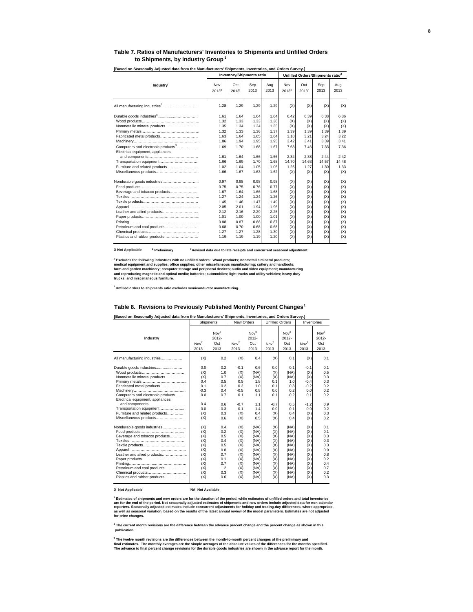#### **Table 7. Ratios of Manufacturers' Inventories to Shipments and Unfilled Orders to Shipments, by Industry Group <sup>1</sup>**

|                                                                                                                                                                                                                |                                                                                                      | <b>Inventory/Shipments ratio</b>                                                                     |                                                                                                      |                                                                                                      |                                                                                         | Unfilled Orders/Shipments ratio <sup>2</sup>                                            |                                                                                         |                                                                                         |
|----------------------------------------------------------------------------------------------------------------------------------------------------------------------------------------------------------------|------------------------------------------------------------------------------------------------------|------------------------------------------------------------------------------------------------------|------------------------------------------------------------------------------------------------------|------------------------------------------------------------------------------------------------------|-----------------------------------------------------------------------------------------|-----------------------------------------------------------------------------------------|-----------------------------------------------------------------------------------------|-----------------------------------------------------------------------------------------|
| Industry                                                                                                                                                                                                       | Nov<br>2013 <sup>p</sup>                                                                             | Oct<br>2013 <sup>r</sup>                                                                             | Sep<br>2013                                                                                          | Aug<br>2013                                                                                          | Nov<br>2013 <sup>p</sup>                                                                | Oct<br>2013'                                                                            | Sep<br>2013                                                                             | Aug<br>2013                                                                             |
|                                                                                                                                                                                                                | 1.28                                                                                                 | 1.29                                                                                                 | 1.29                                                                                                 | 1.29                                                                                                 | (X)                                                                                     | (X)                                                                                     | (X)                                                                                     | (X)                                                                                     |
| Nonmetallic mineral products<br>Fabricated metal products<br>Computers and electronic products <sup>3</sup><br>Electrical equipment, appliances,<br>Transportation equipment<br>Furniture and related products | 1.61<br>1.32<br>1.35<br>1.32<br>1.63<br>1.86<br>1.69<br>1.61<br>1.66<br>1.02                         | 1.64<br>1.33<br>1.34<br>1.33<br>1.64<br>1.94<br>1.70<br>1.64<br>1.69<br>1.04                         | 1.64<br>1.33<br>1.34<br>1.36<br>1.65<br>1.95<br>1.68<br>1.66<br>1.70<br>1.05                         | 1.64<br>1.36<br>1.35<br>1.37<br>1.64<br>1.95<br>1.67<br>1.66<br>1.68<br>1.06                         | 6.42<br>(X)<br>(X)<br>1.39<br>3.18<br>3.42<br>7.63<br>2.34<br>14.70<br>1.25             | 6.39<br>(X)<br>(X)<br>1.39<br>3.21<br>3.41<br>7.46<br>2.38<br>14.63<br>1.27             | 6.38<br>(X)<br>(X)<br>1.39<br>3.24<br>3.39<br>7.33<br>2.44<br>14.57<br>1.30             | 6.36<br>(X)<br>(X)<br>1.39<br>3.22<br>3.41<br>7.36<br>2.42<br>14.48<br>1.33             |
| Beverage and tobacco products<br>Leather and allied products<br>Petroleum and coal products<br>Plastics and rubber products                                                                                    | 1.66<br>0.97<br>0.75<br>1.67<br>1.27<br>1.45<br>2.05<br>2.12<br>1.01<br>0.88<br>0.68<br>1.27<br>1.19 | 1.67<br>0.98<br>0.75<br>1.64<br>1.24<br>1.46<br>2.01<br>2.16<br>1.00<br>0.87<br>0.70<br>1.27<br>1.19 | 1.63<br>0.98<br>0.76<br>1.66<br>1.24<br>1.47<br>1.94<br>2.29<br>1.00<br>0.88<br>0.68<br>1.28<br>1.19 | 1.62<br>0.98<br>0.77<br>1.68<br>1.26<br>1.49<br>1.96<br>2.25<br>1.01<br>0.87<br>0.68<br>1.30<br>1.20 | (X)<br>(X)<br>(X)<br>(X)<br>(X)<br>(X)<br>(X)<br>(X)<br>(X)<br>(X)<br>(X)<br>(X)<br>(X) | (X)<br>(X)<br>(X)<br>(X)<br>(X)<br>(X)<br>(X)<br>(X)<br>(X)<br>(X)<br>(X)<br>(X)<br>(X) | (X)<br>(X)<br>(X)<br>(X)<br>(X)<br>(X)<br>(X)<br>(X)<br>(X)<br>(X)<br>(X)<br>(X)<br>(X) | (X)<br>(X)<br>(X)<br>(X)<br>(X)<br>(X)<br>(X)<br>(X)<br>(X)<br>(X)<br>(X)<br>(X)<br>(X) |

**[Based on Seasonally Adjusted data from the Manufacturers' Shipments, Inventories, and Orders Survey.]** 

**X Not Applicable <sup>p</sup>** <sup>r</sup> Revised data due to late receipts and concurrent seasonal adjustment.

**2 Excludes the following industries with no unfilled orders: Wood products; nonmetallic mineral products;**  medical equipment and supplies; office supplies; other miscellaneous manufacturing; cutlery and handtools;<br>farm and garden machinery; computer storage and peripheral devices; audio and video equipment; manufacturing<br>and re

**3 Unfilled orders to shipments ratio excludes semiconductor manufacturing.**

#### **Table 8. Revisions to Previously Published Monthly Percent Changes 1**

|                                                                                                                                                                                                                                                                                                                                           |                                                                                                          | Shipments                                                                                             | New Orders                                                                                                        |                                                                                                             |                                                                                                          | <b>Unfilled Orders</b>                                                                                      | Inventories                                                                                                       |                                                                                                       |
|-------------------------------------------------------------------------------------------------------------------------------------------------------------------------------------------------------------------------------------------------------------------------------------------------------------------------------------------|----------------------------------------------------------------------------------------------------------|-------------------------------------------------------------------------------------------------------|-------------------------------------------------------------------------------------------------------------------|-------------------------------------------------------------------------------------------------------------|----------------------------------------------------------------------------------------------------------|-------------------------------------------------------------------------------------------------------------|-------------------------------------------------------------------------------------------------------------------|-------------------------------------------------------------------------------------------------------|
| Industry                                                                                                                                                                                                                                                                                                                                  | Nov <sup>2</sup><br>2013                                                                                 | Nov <sup>3</sup><br>$2012 -$<br>Oct<br>2013                                                           | Nov <sup>2</sup><br>2013                                                                                          | Nov <sup>3</sup><br>$2012 -$<br>Oct<br>2013                                                                 | Nov <sup>2</sup><br>2013                                                                                 | Nov <sup>3</sup><br>$2012 -$<br>Oct<br>2013                                                                 | Nov <sup>2</sup><br>2013                                                                                          | Nov <sup>3</sup><br>$2012 -$<br>Oct<br>2013                                                           |
| All manufacturing industries                                                                                                                                                                                                                                                                                                              | (X)                                                                                                      | 0.2                                                                                                   | (X)                                                                                                               | 0.4                                                                                                         | (X)                                                                                                      | 0.1                                                                                                         | (X)                                                                                                               | 0.1                                                                                                   |
| Durable goods industries<br>Nonmetallic mineral products<br>Fabricated metal products<br>Computers and electronic products<br>Electrical equipment, appliances,<br>and components<br>Transportation equipment<br>Furniture and related products<br>Miscellaneous products<br>Nondurable goods industries<br>Beverage and tobacco products | 0.0<br>(X)<br>(X)<br>0.4<br>0.1<br>$-0.3$<br>0.0<br>0.4<br>0.0<br>(X)<br>(X)<br>(X)<br>(X)<br>(X)<br>(X) | 0.2<br>1.0<br>0.7<br>0.5<br>0.2<br>0.4<br>0.7<br>0.6<br>0.3<br>0.3<br>0.6<br>0.4<br>0.2<br>0.5<br>0.4 | $-0.1$<br>(X)<br>(X)<br>0.5<br>0.2<br>$-0.5$<br>0.1<br>$-0.7$<br>$-0.1$<br>(X)<br>(X)<br>(X)<br>(X)<br>(X)<br>(X) | 0.6<br>(NA)<br>(NA)<br>1.8<br>1.0<br>0.8<br>1.1<br>1.1<br>1.4<br>0.4<br>0.5<br>(NA)<br>(NA)<br>(NA)<br>(NA) | 0.0<br>(X)<br>(X)<br>0.1<br>0.1<br>0.0<br>0.1<br>$-0.7$<br>0.0<br>(X)<br>(X)<br>(X)<br>(X)<br>(X)<br>(X) | 0.1<br>(NA)<br>(NA)<br>1.0<br>0.3<br>0.2<br>0.2<br>0.5<br>0.1<br>0.4<br>0.4<br>(NA)<br>(NA)<br>(NA)<br>(NA) | $-0.1$<br>(X)<br>(X)<br>$-0.4$<br>$-0.2$<br>0.0<br>0.1<br>$-1.2$<br>0.0<br>(X)<br>(X)<br>(X)<br>(X)<br>(X)<br>(X) | 0.1<br>0.5<br>0.3<br>0.3<br>0.2<br>0.2<br>0.2<br>0.9<br>0.2<br>0.3<br>0.2<br>0.1<br>0.1<br>0.3<br>0.3 |
| Textile products<br>Leather and allied products<br>Petroleum and coal products<br>Chemical products<br>Plastics and rubber products                                                                                                                                                                                                       | (X)<br>(X)<br>(X)<br>(X)<br>(X)<br>(X)<br>(X)<br>(X)                                                     | 0.5<br>0.8<br>0.7<br>0.1<br>0.7<br>1.2<br>0.3<br>0.6                                                  | (X)<br>(X)<br>(X)<br>(X)<br>(X)<br>(X)<br>(X)<br>(X)                                                              | (NA)<br>(NA)<br>(NA)<br>(NA)<br>(NA)<br>(NA)<br>(NA)<br>(NA)                                                | (X)<br>(X)<br>(X)<br>(X)<br>(X)<br>(X)<br>(X)<br>(X)                                                     | (NA)<br>(NA)<br>(NA)<br>(NA)<br>(NA)<br>(NA)<br>(NA)<br>(NA)                                                | (X)<br>(X)<br>(X)<br>(X)<br>(X)<br>(X)<br>(X)<br>(X)                                                              | 0.3<br>0.9<br>0.8<br>0.2<br>0.4<br>0.7<br>0.2<br>0.3                                                  |

#### **X Not Applicable NA Not Available**

<sup>1</sup> Estimates of shipments and new orders are for the duration of the period, while estimates of unfilled orders and total inventories<br>are for the end of the period. Not seasonally adjusted estimates of shipments and new o

**2 The current month revisions are the difference between the advance percent change and the percent change as shown in this publication.**

<sup>3</sup> The twelve month revisions are the differences between the month-to-month percent changes of the preliminary and<br>final estimates. The monthly averages are the simple averages of the absolute values of the differences f